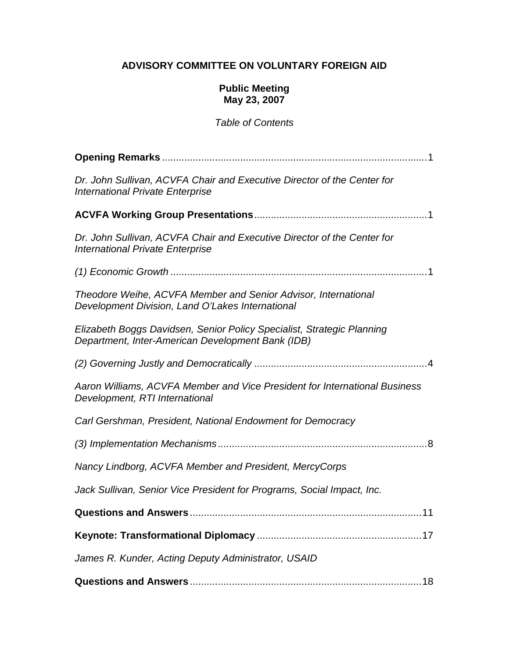## **ADVISORY COMMITTEE ON VOLUNTARY FOREIGN AID**

#### **Public Meeting May 23, 2007**

## Table of Contents

| Dr. John Sullivan, ACVFA Chair and Executive Director of the Center for<br><b>International Private Enterprise</b>          |
|-----------------------------------------------------------------------------------------------------------------------------|
|                                                                                                                             |
| Dr. John Sullivan, ACVFA Chair and Executive Director of the Center for<br><b>International Private Enterprise</b>          |
|                                                                                                                             |
| Theodore Weihe, ACVFA Member and Senior Advisor, International<br>Development Division, Land O'Lakes International          |
| Elizabeth Boggs Davidsen, Senior Policy Specialist, Strategic Planning<br>Department, Inter-American Development Bank (IDB) |
|                                                                                                                             |
| Aaron Williams, ACVFA Member and Vice President for International Business<br>Development, RTI International                |
| Carl Gershman, President, National Endowment for Democracy                                                                  |
|                                                                                                                             |
| Nancy Lindborg, ACVFA Member and President, MercyCorps                                                                      |
| Jack Sullivan, Senior Vice President for Programs, Social Impact, Inc.                                                      |
|                                                                                                                             |
|                                                                                                                             |
| James R. Kunder, Acting Deputy Administrator, USAID                                                                         |
|                                                                                                                             |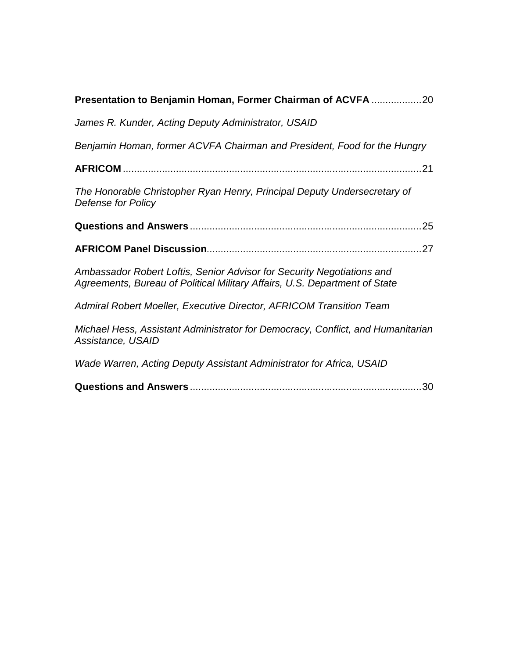| Presentation to Benjamin Homan, Former Chairman of ACVFA 20                                                                                          |
|------------------------------------------------------------------------------------------------------------------------------------------------------|
| James R. Kunder, Acting Deputy Administrator, USAID                                                                                                  |
| Benjamin Homan, former ACVFA Chairman and President, Food for the Hungry                                                                             |
|                                                                                                                                                      |
| The Honorable Christopher Ryan Henry, Principal Deputy Undersecretary of<br>Defense for Policy                                                       |
|                                                                                                                                                      |
|                                                                                                                                                      |
| Ambassador Robert Loftis, Senior Advisor for Security Negotiations and<br>Agreements, Bureau of Political Military Affairs, U.S. Department of State |
| Admiral Robert Moeller, Executive Director, AFRICOM Transition Team                                                                                  |
| Michael Hess, Assistant Administrator for Democracy, Conflict, and Humanitarian<br>Assistance, USAID                                                 |
| Wade Warren, Acting Deputy Assistant Administrator for Africa, USAID                                                                                 |
|                                                                                                                                                      |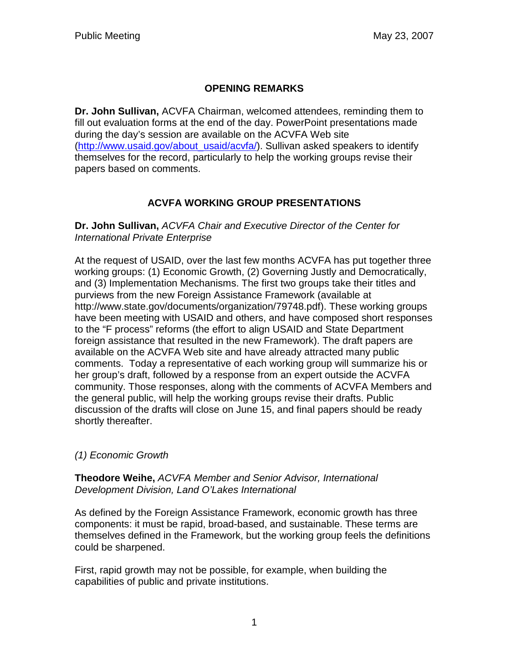# **OPENING REMARKS**

**Dr. John Sullivan,** ACVFA Chairman, welcomed attendees, reminding them to fill out evaluation forms at the end of the day. PowerPoint presentations made during the day's session are available on the ACVFA Web site (http://www.usaid.gov/about\_usaid/acvfa/). Sullivan asked speakers to identify themselves for the record, particularly to help the working groups revise their papers based on comments.

# **ACVFA WORKING GROUP PRESENTATIONS**

**Dr. John Sullivan,** ACVFA Chair and Executive Director of the Center for International Private Enterprise

At the request of USAID, over the last few months ACVFA has put together three working groups: (1) Economic Growth, (2) Governing Justly and Democratically, and (3) Implementation Mechanisms. The first two groups take their titles and purviews from the new Foreign Assistance Framework (available at http://www.state.gov/documents/organization/79748.pdf). These working groups have been meeting with USAID and others, and have composed short responses to the "F process" reforms (the effort to align USAID and State Department foreign assistance that resulted in the new Framework). The draft papers are available on the ACVFA Web site and have already attracted many public comments. Today a representative of each working group will summarize his or her group's draft, followed by a response from an expert outside the ACVFA community. Those responses, along with the comments of ACVFA Members and the general public, will help the working groups revise their drafts. Public discussion of the drafts will close on June 15, and final papers should be ready shortly thereafter.

## (1) Economic Growth

**Theodore Weihe,** ACVFA Member and Senior Advisor, International Development Division, Land O'Lakes International

As defined by the Foreign Assistance Framework, economic growth has three components: it must be rapid, broad-based, and sustainable. These terms are themselves defined in the Framework, but the working group feels the definitions could be sharpened.

First, rapid growth may not be possible, for example, when building the capabilities of public and private institutions.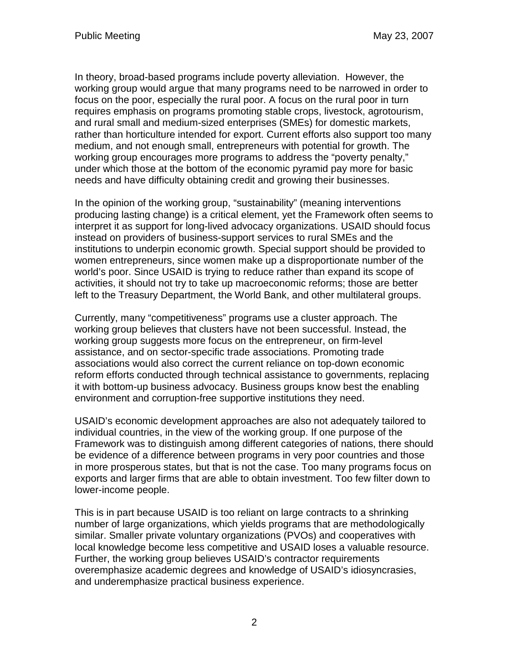In theory, broad-based programs include poverty alleviation. However, the working group would argue that many programs need to be narrowed in order to focus on the poor, especially the rural poor. A focus on the rural poor in turn requires emphasis on programs promoting stable crops, livestock, agrotourism, and rural small and medium-sized enterprises (SMEs) for domestic markets, rather than horticulture intended for export. Current efforts also support too many medium, and not enough small, entrepreneurs with potential for growth. The working group encourages more programs to address the "poverty penalty," under which those at the bottom of the economic pyramid pay more for basic needs and have difficulty obtaining credit and growing their businesses.

In the opinion of the working group, "sustainability" (meaning interventions producing lasting change) is a critical element, yet the Framework often seems to interpret it as support for long-lived advocacy organizations. USAID should focus instead on providers of business-support services to rural SMEs and the institutions to underpin economic growth. Special support should be provided to women entrepreneurs, since women make up a disproportionate number of the world's poor. Since USAID is trying to reduce rather than expand its scope of activities, it should not try to take up macroeconomic reforms; those are better left to the Treasury Department, the World Bank, and other multilateral groups.

Currently, many "competitiveness" programs use a cluster approach. The working group believes that clusters have not been successful. Instead, the working group suggests more focus on the entrepreneur, on firm-level assistance, and on sector-specific trade associations. Promoting trade associations would also correct the current reliance on top-down economic reform efforts conducted through technical assistance to governments, replacing it with bottom-up business advocacy. Business groups know best the enabling environment and corruption-free supportive institutions they need.

USAID's economic development approaches are also not adequately tailored to individual countries, in the view of the working group. If one purpose of the Framework was to distinguish among different categories of nations, there should be evidence of a difference between programs in very poor countries and those in more prosperous states, but that is not the case. Too many programs focus on exports and larger firms that are able to obtain investment. Too few filter down to lower-income people.

This is in part because USAID is too reliant on large contracts to a shrinking number of large organizations, which yields programs that are methodologically similar. Smaller private voluntary organizations (PVOs) and cooperatives with local knowledge become less competitive and USAID loses a valuable resource. Further, the working group believes USAID's contractor requirements overemphasize academic degrees and knowledge of USAID's idiosyncrasies, and underemphasize practical business experience.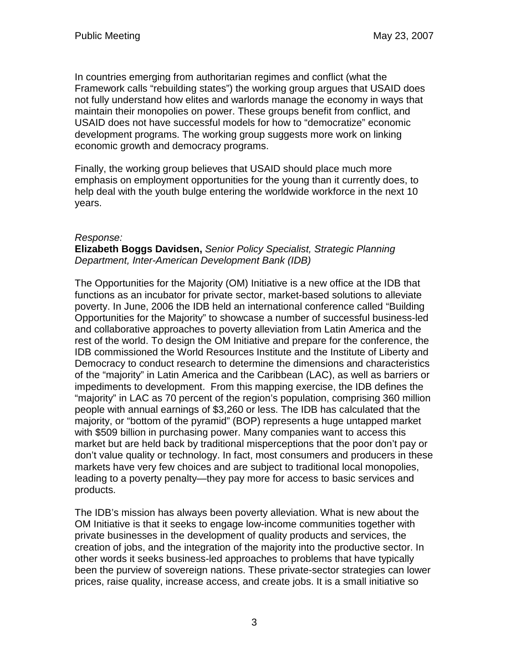In countries emerging from authoritarian regimes and conflict (what the Framework calls "rebuilding states") the working group argues that USAID does not fully understand how elites and warlords manage the economy in ways that maintain their monopolies on power. These groups benefit from conflict, and USAID does not have successful models for how to "democratize" economic development programs. The working group suggests more work on linking economic growth and democracy programs.

Finally, the working group believes that USAID should place much more emphasis on employment opportunities for the young than it currently does, to help deal with the youth bulge entering the worldwide workforce in the next 10 years.

#### Response:

#### **Elizabeth Boggs Davidsen,** Senior Policy Specialist, Strategic Planning Department, Inter-American Development Bank (IDB)

The Opportunities for the Majority (OM) Initiative is a new office at the IDB that functions as an incubator for private sector, market-based solutions to alleviate poverty. In June, 2006 the IDB held an international conference called "Building Opportunities for the Majority" to showcase a number of successful business-led and collaborative approaches to poverty alleviation from Latin America and the rest of the world. To design the OM Initiative and prepare for the conference, the IDB commissioned the World Resources Institute and the Institute of Liberty and Democracy to conduct research to determine the dimensions and characteristics of the "majority" in Latin America and the Caribbean (LAC), as well as barriers or impediments to development. From this mapping exercise, the IDB defines the "majority" in LAC as 70 percent of the region's population, comprising 360 million people with annual earnings of \$3,260 or less. The IDB has calculated that the majority, or "bottom of the pyramid" (BOP) represents a huge untapped market with \$509 billion in purchasing power. Many companies want to access this market but are held back by traditional misperceptions that the poor don't pay or don't value quality or technology. In fact, most consumers and producers in these markets have very few choices and are subject to traditional local monopolies, leading to a poverty penalty—they pay more for access to basic services and products.

The IDB's mission has always been poverty alleviation. What is new about the OM Initiative is that it seeks to engage low-income communities together with private businesses in the development of quality products and services, the creation of jobs, and the integration of the majority into the productive sector. In other words it seeks business-led approaches to problems that have typically been the purview of sovereign nations. These private-sector strategies can lower prices, raise quality, increase access, and create jobs. It is a small initiative so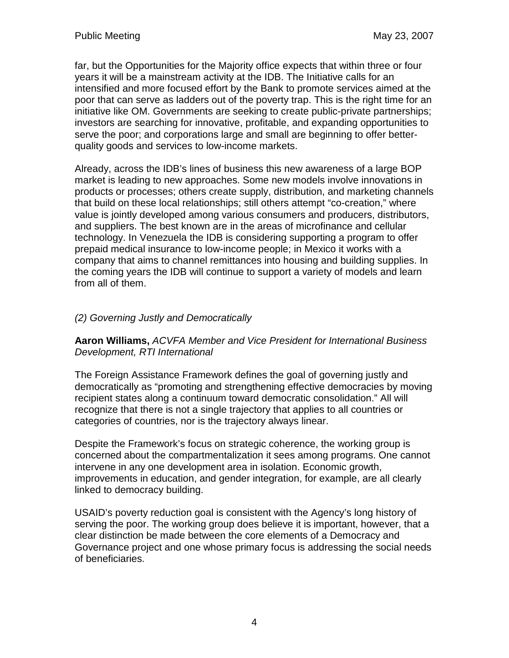far, but the Opportunities for the Majority office expects that within three or four years it will be a mainstream activity at the IDB. The Initiative calls for an intensified and more focused effort by the Bank to promote services aimed at the poor that can serve as ladders out of the poverty trap. This is the right time for an initiative like OM. Governments are seeking to create public-private partnerships; investors are searching for innovative, profitable, and expanding opportunities to serve the poor; and corporations large and small are beginning to offer betterquality goods and services to low-income markets.

Already, across the IDB's lines of business this new awareness of a large BOP market is leading to new approaches. Some new models involve innovations in products or processes; others create supply, distribution, and marketing channels that build on these local relationships; still others attempt "co-creation," where value is jointly developed among various consumers and producers, distributors, and suppliers. The best known are in the areas of microfinance and cellular technology. In Venezuela the IDB is considering supporting a program to offer prepaid medical insurance to low-income people; in Mexico it works with a company that aims to channel remittances into housing and building supplies. In the coming years the IDB will continue to support a variety of models and learn from all of them.

## (2) Governing Justly and Democratically

### **Aaron Williams,** ACVFA Member and Vice President for International Business Development, RTI International

The Foreign Assistance Framework defines the goal of governing justly and democratically as "promoting and strengthening effective democracies by moving recipient states along a continuum toward democratic consolidation." All will recognize that there is not a single trajectory that applies to all countries or categories of countries, nor is the trajectory always linear.

Despite the Framework's focus on strategic coherence, the working group is concerned about the compartmentalization it sees among programs. One cannot intervene in any one development area in isolation. Economic growth, improvements in education, and gender integration, for example, are all clearly linked to democracy building.

USAID's poverty reduction goal is consistent with the Agency's long history of serving the poor. The working group does believe it is important, however, that a clear distinction be made between the core elements of a Democracy and Governance project and one whose primary focus is addressing the social needs of beneficiaries.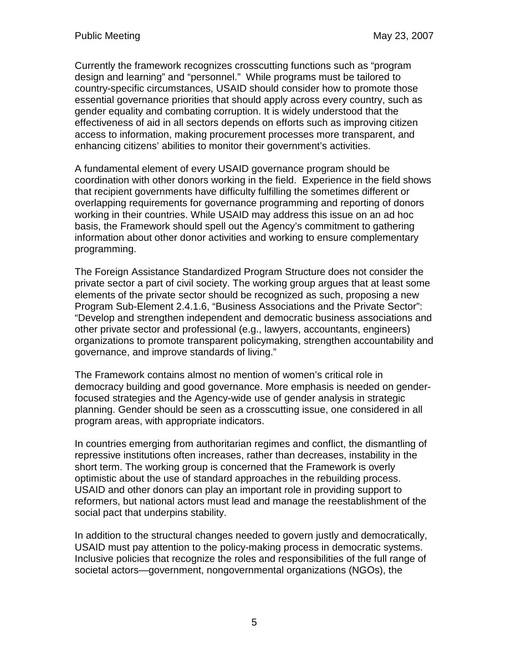Currently the framework recognizes crosscutting functions such as "program design and learning" and "personnel." While programs must be tailored to country-specific circumstances, USAID should consider how to promote those essential governance priorities that should apply across every country, such as gender equality and combating corruption. It is widely understood that the effectiveness of aid in all sectors depends on efforts such as improving citizen access to information, making procurement processes more transparent, and enhancing citizens' abilities to monitor their government's activities.

A fundamental element of every USAID governance program should be coordination with other donors working in the field. Experience in the field shows that recipient governments have difficulty fulfilling the sometimes different or overlapping requirements for governance programming and reporting of donors working in their countries. While USAID may address this issue on an ad hoc basis, the Framework should spell out the Agency's commitment to gathering information about other donor activities and working to ensure complementary programming.

The Foreign Assistance Standardized Program Structure does not consider the private sector a part of civil society. The working group argues that at least some elements of the private sector should be recognized as such, proposing a new Program Sub-Element 2.4.1.6, "Business Associations and the Private Sector": "Develop and strengthen independent and democratic business associations and other private sector and professional (e.g., lawyers, accountants, engineers) organizations to promote transparent policymaking, strengthen accountability and governance, and improve standards of living."

The Framework contains almost no mention of women's critical role in democracy building and good governance. More emphasis is needed on genderfocused strategies and the Agency-wide use of gender analysis in strategic planning. Gender should be seen as a crosscutting issue, one considered in all program areas, with appropriate indicators.

In countries emerging from authoritarian regimes and conflict, the dismantling of repressive institutions often increases, rather than decreases, instability in the short term. The working group is concerned that the Framework is overly optimistic about the use of standard approaches in the rebuilding process. USAID and other donors can play an important role in providing support to reformers, but national actors must lead and manage the reestablishment of the social pact that underpins stability.

In addition to the structural changes needed to govern justly and democratically, USAID must pay attention to the policy-making process in democratic systems. Inclusive policies that recognize the roles and responsibilities of the full range of societal actors—government, nongovernmental organizations (NGOs), the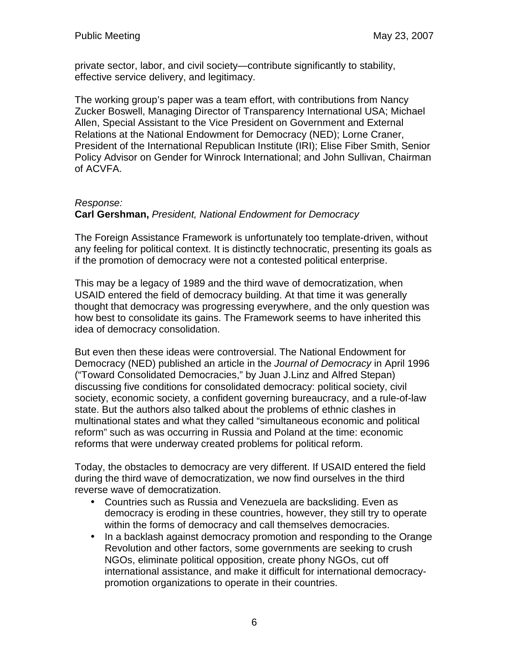private sector, labor, and civil society—contribute significantly to stability, effective service delivery, and legitimacy.

The working group's paper was a team effort, with contributions from Nancy Zucker Boswell, Managing Director of Transparency International USA; Michael Allen, Special Assistant to the Vice President on Government and External Relations at the National Endowment for Democracy (NED); Lorne Craner, President of the International Republican Institute (IRI); Elise Fiber Smith, Senior Policy Advisor on Gender for Winrock International; and John Sullivan, Chairman of ACVFA.

### Response:

### **Carl Gershman,** President, National Endowment for Democracy

The Foreign Assistance Framework is unfortunately too template-driven, without any feeling for political context. It is distinctly technocratic, presenting its goals as if the promotion of democracy were not a contested political enterprise.

This may be a legacy of 1989 and the third wave of democratization, when USAID entered the field of democracy building. At that time it was generally thought that democracy was progressing everywhere, and the only question was how best to consolidate its gains. The Framework seems to have inherited this idea of democracy consolidation.

But even then these ideas were controversial. The National Endowment for Democracy (NED) published an article in the Journal of Democracy in April 1996 ("Toward Consolidated Democracies," by Juan J.Linz and Alfred Stepan) discussing five conditions for consolidated democracy: political society, civil society, economic society, a confident governing bureaucracy, and a rule-of-law state. But the authors also talked about the problems of ethnic clashes in multinational states and what they called "simultaneous economic and political reform" such as was occurring in Russia and Poland at the time: economic reforms that were underway created problems for political reform.

Today, the obstacles to democracy are very different. If USAID entered the field during the third wave of democratization, we now find ourselves in the third reverse wave of democratization.

- Countries such as Russia and Venezuela are backsliding. Even as democracy is eroding in these countries, however, they still try to operate within the forms of democracy and call themselves democracies.
- In a backlash against democracy promotion and responding to the Orange Revolution and other factors, some governments are seeking to crush NGOs, eliminate political opposition, create phony NGOs, cut off international assistance, and make it difficult for international democracypromotion organizations to operate in their countries.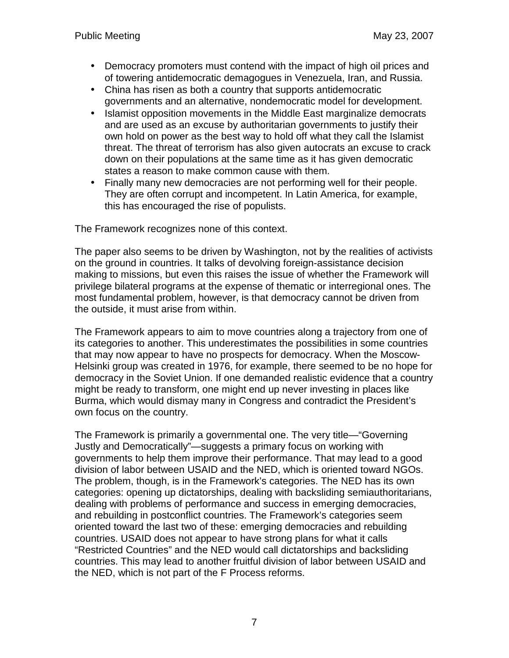- Democracy promoters must contend with the impact of high oil prices and of towering antidemocratic demagogues in Venezuela, Iran, and Russia.
- China has risen as both a country that supports antidemocratic governments and an alternative, nondemocratic model for development.
- Islamist opposition movements in the Middle East marginalize democrats and are used as an excuse by authoritarian governments to justify their own hold on power as the best way to hold off what they call the Islamist threat. The threat of terrorism has also given autocrats an excuse to crack down on their populations at the same time as it has given democratic states a reason to make common cause with them.
- Finally many new democracies are not performing well for their people. They are often corrupt and incompetent. In Latin America, for example, this has encouraged the rise of populists.

The Framework recognizes none of this context.

The paper also seems to be driven by Washington, not by the realities of activists on the ground in countries. It talks of devolving foreign-assistance decision making to missions, but even this raises the issue of whether the Framework will privilege bilateral programs at the expense of thematic or interregional ones. The most fundamental problem, however, is that democracy cannot be driven from the outside, it must arise from within.

The Framework appears to aim to move countries along a trajectory from one of its categories to another. This underestimates the possibilities in some countries that may now appear to have no prospects for democracy. When the Moscow-Helsinki group was created in 1976, for example, there seemed to be no hope for democracy in the Soviet Union. If one demanded realistic evidence that a country might be ready to transform, one might end up never investing in places like Burma, which would dismay many in Congress and contradict the President's own focus on the country.

The Framework is primarily a governmental one. The very title—"Governing Justly and Democratically"—suggests a primary focus on working with governments to help them improve their performance. That may lead to a good division of labor between USAID and the NED, which is oriented toward NGOs. The problem, though, is in the Framework's categories. The NED has its own categories: opening up dictatorships, dealing with backsliding semiauthoritarians, dealing with problems of performance and success in emerging democracies, and rebuilding in postconflict countries. The Framework's categories seem oriented toward the last two of these: emerging democracies and rebuilding countries. USAID does not appear to have strong plans for what it calls "Restricted Countries" and the NED would call dictatorships and backsliding countries. This may lead to another fruitful division of labor between USAID and the NED, which is not part of the F Process reforms.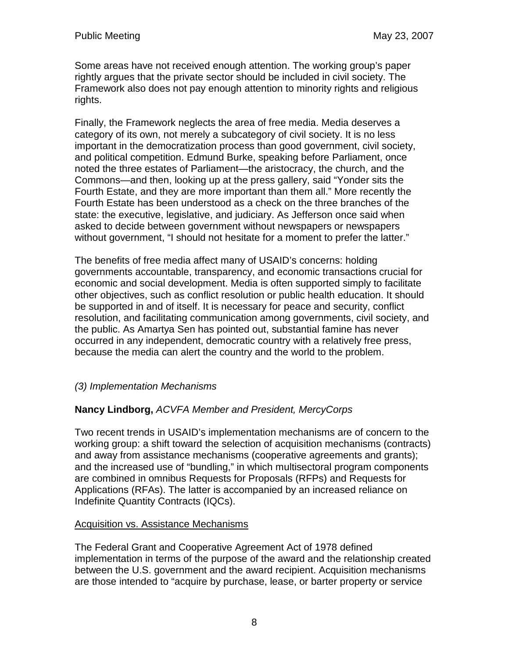Some areas have not received enough attention. The working group's paper rightly argues that the private sector should be included in civil society. The Framework also does not pay enough attention to minority rights and religious rights.

Finally, the Framework neglects the area of free media. Media deserves a category of its own, not merely a subcategory of civil society. It is no less important in the democratization process than good government, civil society, and political competition. Edmund Burke, speaking before Parliament, once noted the three estates of Parliament—the aristocracy, the church, and the Commons—and then, looking up at the press gallery, said "Yonder sits the Fourth Estate, and they are more important than them all." More recently the Fourth Estate has been understood as a check on the three branches of the state: the executive, legislative, and judiciary. As Jefferson once said when asked to decide between government without newspapers or newspapers without government, "I should not hesitate for a moment to prefer the latter."

The benefits of free media affect many of USAID's concerns: holding governments accountable, transparency, and economic transactions crucial for economic and social development. Media is often supported simply to facilitate other objectives, such as conflict resolution or public health education. It should be supported in and of itself. It is necessary for peace and security, conflict resolution, and facilitating communication among governments, civil society, and the public. As Amartya Sen has pointed out, substantial famine has never occurred in any independent, democratic country with a relatively free press, because the media can alert the country and the world to the problem.

### (3) Implementation Mechanisms

### **Nancy Lindborg,** ACVFA Member and President, MercyCorps

Two recent trends in USAID's implementation mechanisms are of concern to the working group: a shift toward the selection of acquisition mechanisms (contracts) and away from assistance mechanisms (cooperative agreements and grants); and the increased use of "bundling," in which multisectoral program components are combined in omnibus Requests for Proposals (RFPs) and Requests for Applications (RFAs). The latter is accompanied by an increased reliance on Indefinite Quantity Contracts (IQCs).

#### Acquisition vs. Assistance Mechanisms

The Federal Grant and Cooperative Agreement Act of 1978 defined implementation in terms of the purpose of the award and the relationship created between the U.S. government and the award recipient. Acquisition mechanisms are those intended to "acquire by purchase, lease, or barter property or service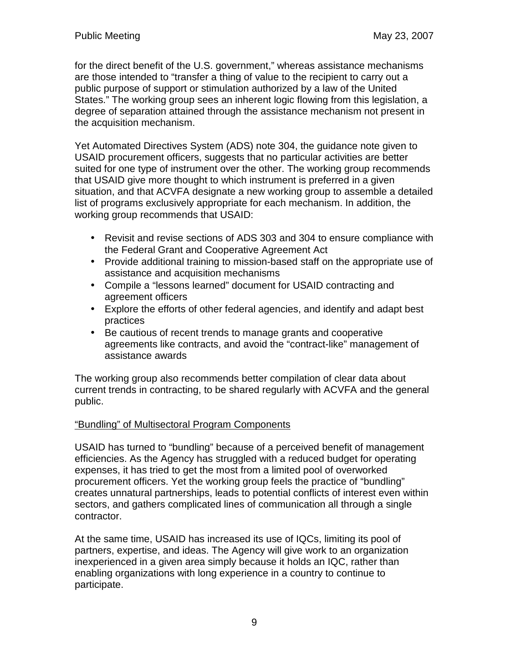for the direct benefit of the U.S. government," whereas assistance mechanisms are those intended to "transfer a thing of value to the recipient to carry out a public purpose of support or stimulation authorized by a law of the United States." The working group sees an inherent logic flowing from this legislation, a degree of separation attained through the assistance mechanism not present in the acquisition mechanism.

Yet Automated Directives System (ADS) note 304, the guidance note given to USAID procurement officers, suggests that no particular activities are better suited for one type of instrument over the other. The working group recommends that USAID give more thought to which instrument is preferred in a given situation, and that ACVFA designate a new working group to assemble a detailed list of programs exclusively appropriate for each mechanism. In addition, the working group recommends that USAID:

- Revisit and revise sections of ADS 303 and 304 to ensure compliance with the Federal Grant and Cooperative Agreement Act
- Provide additional training to mission-based staff on the appropriate use of assistance and acquisition mechanisms
- Compile a "lessons learned" document for USAID contracting and agreement officers
- Explore the efforts of other federal agencies, and identify and adapt best practices
- Be cautious of recent trends to manage grants and cooperative agreements like contracts, and avoid the "contract-like" management of assistance awards

The working group also recommends better compilation of clear data about current trends in contracting, to be shared regularly with ACVFA and the general public.

### "Bundling" of Multisectoral Program Components

USAID has turned to "bundling" because of a perceived benefit of management efficiencies. As the Agency has struggled with a reduced budget for operating expenses, it has tried to get the most from a limited pool of overworked procurement officers. Yet the working group feels the practice of "bundling" creates unnatural partnerships, leads to potential conflicts of interest even within sectors, and gathers complicated lines of communication all through a single contractor.

At the same time, USAID has increased its use of IQCs, limiting its pool of partners, expertise, and ideas. The Agency will give work to an organization inexperienced in a given area simply because it holds an IQC, rather than enabling organizations with long experience in a country to continue to participate.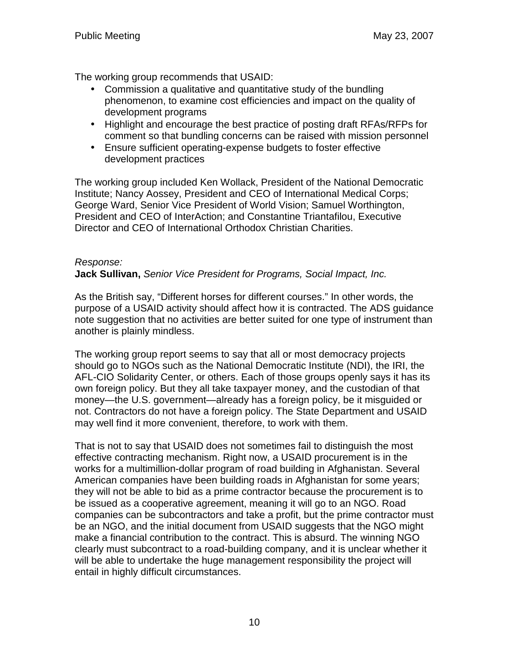The working group recommends that USAID:

- Commission a qualitative and quantitative study of the bundling phenomenon, to examine cost efficiencies and impact on the quality of development programs
- Highlight and encourage the best practice of posting draft RFAs/RFPs for comment so that bundling concerns can be raised with mission personnel
- Ensure sufficient operating-expense budgets to foster effective development practices

The working group included Ken Wollack, President of the National Democratic Institute; Nancy Aossey, President and CEO of International Medical Corps; George Ward, Senior Vice President of World Vision; Samuel Worthington, President and CEO of InterAction; and Constantine Triantafilou, Executive Director and CEO of International Orthodox Christian Charities.

## Response:

**Jack Sullivan,** Senior Vice President for Programs, Social Impact, Inc.

As the British say, "Different horses for different courses." In other words, the purpose of a USAID activity should affect how it is contracted. The ADS guidance note suggestion that no activities are better suited for one type of instrument than another is plainly mindless.

The working group report seems to say that all or most democracy projects should go to NGOs such as the National Democratic Institute (NDI), the IRI, the AFL-CIO Solidarity Center, or others. Each of those groups openly says it has its own foreign policy. But they all take taxpayer money, and the custodian of that money—the U.S. government—already has a foreign policy, be it misguided or not. Contractors do not have a foreign policy. The State Department and USAID may well find it more convenient, therefore, to work with them.

That is not to say that USAID does not sometimes fail to distinguish the most effective contracting mechanism. Right now, a USAID procurement is in the works for a multimillion-dollar program of road building in Afghanistan. Several American companies have been building roads in Afghanistan for some years; they will not be able to bid as a prime contractor because the procurement is to be issued as a cooperative agreement, meaning it will go to an NGO. Road companies can be subcontractors and take a profit, but the prime contractor must be an NGO, and the initial document from USAID suggests that the NGO might make a financial contribution to the contract. This is absurd. The winning NGO clearly must subcontract to a road-building company, and it is unclear whether it will be able to undertake the huge management responsibility the project will entail in highly difficult circumstances.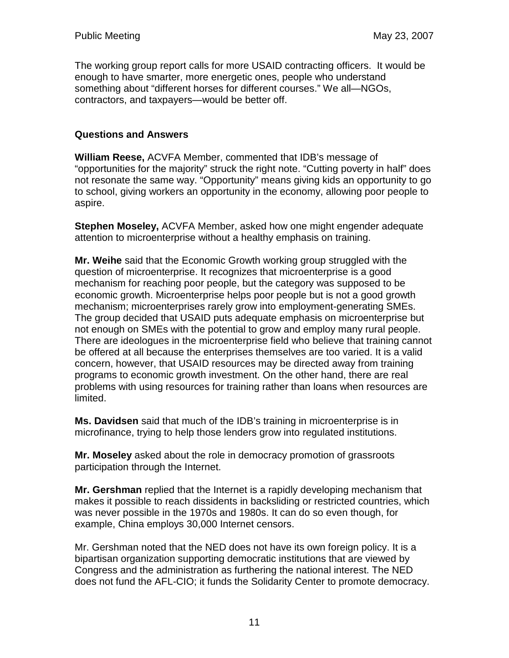The working group report calls for more USAID contracting officers. It would be enough to have smarter, more energetic ones, people who understand something about "different horses for different courses." We all—NGOs, contractors, and taxpayers—would be better off.

### **Questions and Answers**

**William Reese,** ACVFA Member, commented that IDB's message of "opportunities for the majority" struck the right note. "Cutting poverty in half" does not resonate the same way. "Opportunity" means giving kids an opportunity to go to school, giving workers an opportunity in the economy, allowing poor people to aspire.

**Stephen Moseley,** ACVFA Member, asked how one might engender adequate attention to microenterprise without a healthy emphasis on training.

**Mr. Weihe** said that the Economic Growth working group struggled with the question of microenterprise. It recognizes that microenterprise is a good mechanism for reaching poor people, but the category was supposed to be economic growth. Microenterprise helps poor people but is not a good growth mechanism; microenterprises rarely grow into employment-generating SMEs. The group decided that USAID puts adequate emphasis on microenterprise but not enough on SMEs with the potential to grow and employ many rural people. There are ideologues in the microenterprise field who believe that training cannot be offered at all because the enterprises themselves are too varied. It is a valid concern, however, that USAID resources may be directed away from training programs to economic growth investment. On the other hand, there are real problems with using resources for training rather than loans when resources are limited.

**Ms. Davidsen** said that much of the IDB's training in microenterprise is in microfinance, trying to help those lenders grow into regulated institutions.

**Mr. Moseley** asked about the role in democracy promotion of grassroots participation through the Internet.

**Mr. Gershman** replied that the Internet is a rapidly developing mechanism that makes it possible to reach dissidents in backsliding or restricted countries, which was never possible in the 1970s and 1980s. It can do so even though, for example, China employs 30,000 Internet censors.

Mr. Gershman noted that the NED does not have its own foreign policy. It is a bipartisan organization supporting democratic institutions that are viewed by Congress and the administration as furthering the national interest. The NED does not fund the AFL-CIO; it funds the Solidarity Center to promote democracy.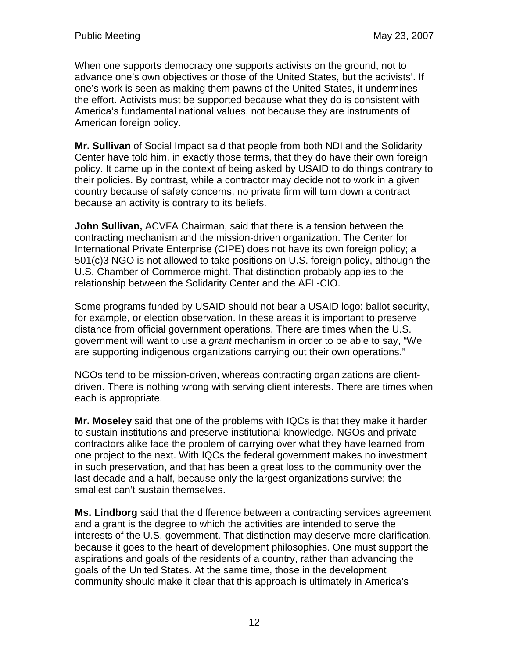When one supports democracy one supports activists on the ground, not to advance one's own objectives or those of the United States, but the activists'. If one's work is seen as making them pawns of the United States, it undermines the effort. Activists must be supported because what they do is consistent with America's fundamental national values, not because they are instruments of American foreign policy.

**Mr. Sullivan** of Social Impact said that people from both NDI and the Solidarity Center have told him, in exactly those terms, that they do have their own foreign policy. It came up in the context of being asked by USAID to do things contrary to their policies. By contrast, while a contractor may decide not to work in a given country because of safety concerns, no private firm will turn down a contract because an activity is contrary to its beliefs.

**John Sullivan,** ACVFA Chairman, said that there is a tension between the contracting mechanism and the mission-driven organization. The Center for International Private Enterprise (CIPE) does not have its own foreign policy; a 501(c)3 NGO is not allowed to take positions on U.S. foreign policy, although the U.S. Chamber of Commerce might. That distinction probably applies to the relationship between the Solidarity Center and the AFL-CIO.

Some programs funded by USAID should not bear a USAID logo: ballot security, for example, or election observation. In these areas it is important to preserve distance from official government operations. There are times when the U.S. government will want to use a *grant* mechanism in order to be able to say, "We are supporting indigenous organizations carrying out their own operations."

NGOs tend to be mission-driven, whereas contracting organizations are clientdriven. There is nothing wrong with serving client interests. There are times when each is appropriate.

**Mr. Moseley** said that one of the problems with IQCs is that they make it harder to sustain institutions and preserve institutional knowledge. NGOs and private contractors alike face the problem of carrying over what they have learned from one project to the next. With IQCs the federal government makes no investment in such preservation, and that has been a great loss to the community over the last decade and a half, because only the largest organizations survive; the smallest can't sustain themselves.

**Ms. Lindborg** said that the difference between a contracting services agreement and a grant is the degree to which the activities are intended to serve the interests of the U.S. government. That distinction may deserve more clarification, because it goes to the heart of development philosophies. One must support the aspirations and goals of the residents of a country, rather than advancing the goals of the United States. At the same time, those in the development community should make it clear that this approach is ultimately in America's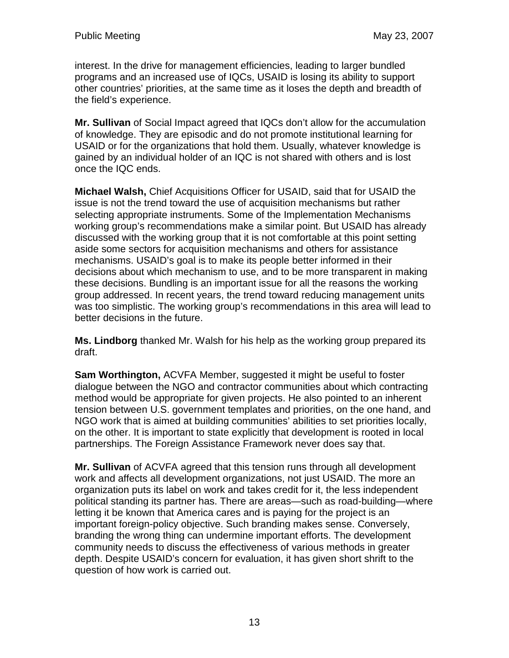interest. In the drive for management efficiencies, leading to larger bundled programs and an increased use of IQCs, USAID is losing its ability to support other countries' priorities, at the same time as it loses the depth and breadth of the field's experience.

**Mr. Sullivan** of Social Impact agreed that IQCs don't allow for the accumulation of knowledge. They are episodic and do not promote institutional learning for USAID or for the organizations that hold them. Usually, whatever knowledge is gained by an individual holder of an IQC is not shared with others and is lost once the IQC ends.

**Michael Walsh,** Chief Acquisitions Officer for USAID, said that for USAID the issue is not the trend toward the use of acquisition mechanisms but rather selecting appropriate instruments. Some of the Implementation Mechanisms working group's recommendations make a similar point. But USAID has already discussed with the working group that it is not comfortable at this point setting aside some sectors for acquisition mechanisms and others for assistance mechanisms. USAID's goal is to make its people better informed in their decisions about which mechanism to use, and to be more transparent in making these decisions. Bundling is an important issue for all the reasons the working group addressed. In recent years, the trend toward reducing management units was too simplistic. The working group's recommendations in this area will lead to better decisions in the future.

**Ms. Lindborg** thanked Mr. Walsh for his help as the working group prepared its draft.

**Sam Worthington,** ACVFA Member, suggested it might be useful to foster dialogue between the NGO and contractor communities about which contracting method would be appropriate for given projects. He also pointed to an inherent tension between U.S. government templates and priorities, on the one hand, and NGO work that is aimed at building communities' abilities to set priorities locally, on the other. It is important to state explicitly that development is rooted in local partnerships. The Foreign Assistance Framework never does say that.

**Mr. Sullivan** of ACVFA agreed that this tension runs through all development work and affects all development organizations, not just USAID. The more an organization puts its label on work and takes credit for it, the less independent political standing its partner has. There are areas—such as road-building—where letting it be known that America cares and is paying for the project is an important foreign-policy objective. Such branding makes sense. Conversely, branding the wrong thing can undermine important efforts. The development community needs to discuss the effectiveness of various methods in greater depth. Despite USAID's concern for evaluation, it has given short shrift to the question of how work is carried out.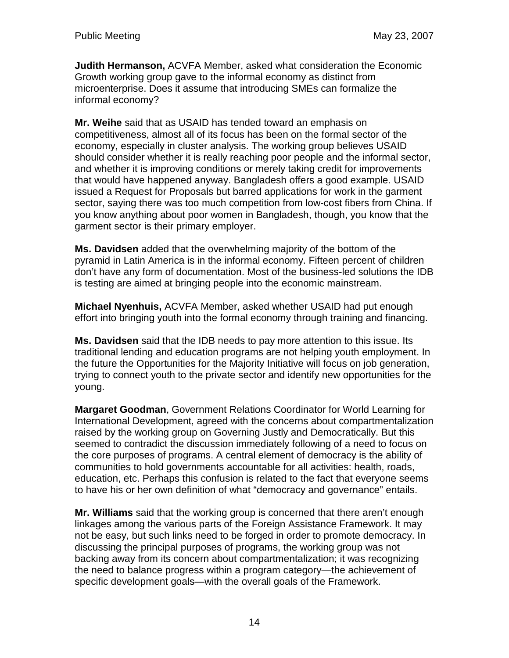**Judith Hermanson,** ACVFA Member, asked what consideration the Economic Growth working group gave to the informal economy as distinct from microenterprise. Does it assume that introducing SMEs can formalize the informal economy?

**Mr. Weihe** said that as USAID has tended toward an emphasis on competitiveness, almost all of its focus has been on the formal sector of the economy, especially in cluster analysis. The working group believes USAID should consider whether it is really reaching poor people and the informal sector, and whether it is improving conditions or merely taking credit for improvements that would have happened anyway. Bangladesh offers a good example. USAID issued a Request for Proposals but barred applications for work in the garment sector, saying there was too much competition from low-cost fibers from China. If you know anything about poor women in Bangladesh, though, you know that the garment sector is their primary employer.

**Ms. Davidsen** added that the overwhelming majority of the bottom of the pyramid in Latin America is in the informal economy. Fifteen percent of children don't have any form of documentation. Most of the business-led solutions the IDB is testing are aimed at bringing people into the economic mainstream.

**Michael Nyenhuis,** ACVFA Member, asked whether USAID had put enough effort into bringing youth into the formal economy through training and financing.

**Ms. Davidsen** said that the IDB needs to pay more attention to this issue. Its traditional lending and education programs are not helping youth employment. In the future the Opportunities for the Majority Initiative will focus on job generation, trying to connect youth to the private sector and identify new opportunities for the young.

**Margaret Goodman**, Government Relations Coordinator for World Learning for International Development, agreed with the concerns about compartmentalization raised by the working group on Governing Justly and Democratically. But this seemed to contradict the discussion immediately following of a need to focus on the core purposes of programs. A central element of democracy is the ability of communities to hold governments accountable for all activities: health, roads, education, etc. Perhaps this confusion is related to the fact that everyone seems to have his or her own definition of what "democracy and governance" entails.

**Mr. Williams** said that the working group is concerned that there aren't enough linkages among the various parts of the Foreign Assistance Framework. It may not be easy, but such links need to be forged in order to promote democracy. In discussing the principal purposes of programs, the working group was not backing away from its concern about compartmentalization; it was recognizing the need to balance progress within a program category—the achievement of specific development goals—with the overall goals of the Framework.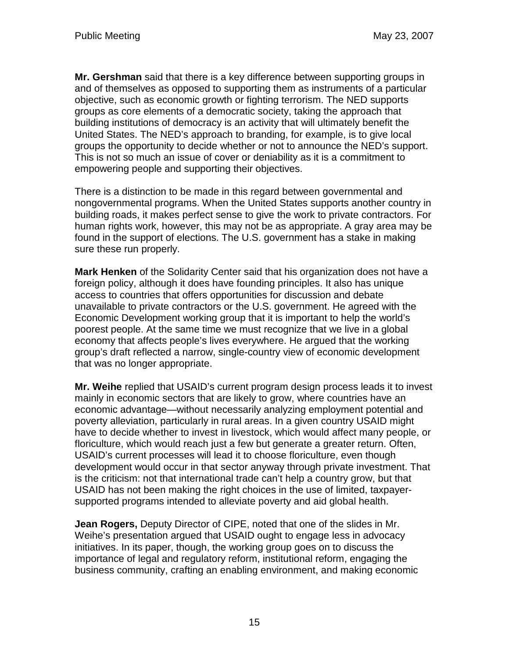**Mr. Gershman** said that there is a key difference between supporting groups in and of themselves as opposed to supporting them as instruments of a particular objective, such as economic growth or fighting terrorism. The NED supports groups as core elements of a democratic society, taking the approach that building institutions of democracy is an activity that will ultimately benefit the United States. The NED's approach to branding, for example, is to give local groups the opportunity to decide whether or not to announce the NED's support. This is not so much an issue of cover or deniability as it is a commitment to empowering people and supporting their objectives.

There is a distinction to be made in this regard between governmental and nongovernmental programs. When the United States supports another country in building roads, it makes perfect sense to give the work to private contractors. For human rights work, however, this may not be as appropriate. A gray area may be found in the support of elections. The U.S. government has a stake in making sure these run properly.

**Mark Henken** of the Solidarity Center said that his organization does not have a foreign policy, although it does have founding principles. It also has unique access to countries that offers opportunities for discussion and debate unavailable to private contractors or the U.S. government. He agreed with the Economic Development working group that it is important to help the world's poorest people. At the same time we must recognize that we live in a global economy that affects people's lives everywhere. He argued that the working group's draft reflected a narrow, single-country view of economic development that was no longer appropriate.

**Mr. Weihe** replied that USAID's current program design process leads it to invest mainly in economic sectors that are likely to grow, where countries have an economic advantage—without necessarily analyzing employment potential and poverty alleviation, particularly in rural areas. In a given country USAID might have to decide whether to invest in livestock, which would affect many people, or floriculture, which would reach just a few but generate a greater return. Often, USAID's current processes will lead it to choose floriculture, even though development would occur in that sector anyway through private investment. That is the criticism: not that international trade can't help a country grow, but that USAID has not been making the right choices in the use of limited, taxpayersupported programs intended to alleviate poverty and aid global health.

**Jean Rogers,** Deputy Director of CIPE, noted that one of the slides in Mr. Weihe's presentation argued that USAID ought to engage less in advocacy initiatives. In its paper, though, the working group goes on to discuss the importance of legal and regulatory reform, institutional reform, engaging the business community, crafting an enabling environment, and making economic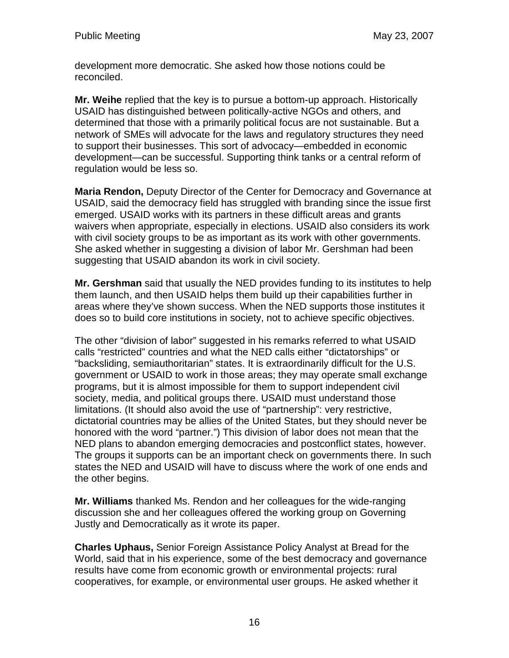development more democratic. She asked how those notions could be reconciled.

**Mr. Weihe** replied that the key is to pursue a bottom-up approach. Historically USAID has distinguished between politically-active NGOs and others, and determined that those with a primarily political focus are not sustainable. But a network of SMEs will advocate for the laws and regulatory structures they need to support their businesses. This sort of advocacy—embedded in economic development—can be successful. Supporting think tanks or a central reform of regulation would be less so.

**Maria Rendon,** Deputy Director of the Center for Democracy and Governance at USAID, said the democracy field has struggled with branding since the issue first emerged. USAID works with its partners in these difficult areas and grants waivers when appropriate, especially in elections. USAID also considers its work with civil society groups to be as important as its work with other governments. She asked whether in suggesting a division of labor Mr. Gershman had been suggesting that USAID abandon its work in civil society.

**Mr. Gershman** said that usually the NED provides funding to its institutes to help them launch, and then USAID helps them build up their capabilities further in areas where they've shown success. When the NED supports those institutes it does so to build core institutions in society, not to achieve specific objectives.

The other "division of labor" suggested in his remarks referred to what USAID calls "restricted" countries and what the NED calls either "dictatorships" or "backsliding, semiauthoritarian" states. It is extraordinarily difficult for the U.S. government or USAID to work in those areas; they may operate small exchange programs, but it is almost impossible for them to support independent civil society, media, and political groups there. USAID must understand those limitations. (It should also avoid the use of "partnership": very restrictive, dictatorial countries may be allies of the United States, but they should never be honored with the word "partner.") This division of labor does not mean that the NED plans to abandon emerging democracies and postconflict states, however. The groups it supports can be an important check on governments there. In such states the NED and USAID will have to discuss where the work of one ends and the other begins.

**Mr. Williams** thanked Ms. Rendon and her colleagues for the wide-ranging discussion she and her colleagues offered the working group on Governing Justly and Democratically as it wrote its paper.

**Charles Uphaus,** Senior Foreign Assistance Policy Analyst at Bread for the World, said that in his experience, some of the best democracy and governance results have come from economic growth or environmental projects: rural cooperatives, for example, or environmental user groups. He asked whether it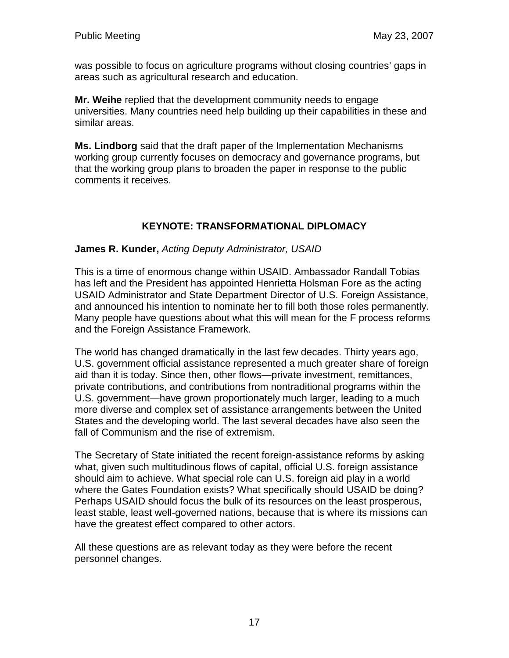was possible to focus on agriculture programs without closing countries' gaps in areas such as agricultural research and education.

**Mr. Weihe** replied that the development community needs to engage universities. Many countries need help building up their capabilities in these and similar areas.

**Ms. Lindborg** said that the draft paper of the Implementation Mechanisms working group currently focuses on democracy and governance programs, but that the working group plans to broaden the paper in response to the public comments it receives.

## **KEYNOTE: TRANSFORMATIONAL DIPLOMACY**

#### **James R. Kunder,** Acting Deputy Administrator, USAID

This is a time of enormous change within USAID. Ambassador Randall Tobias has left and the President has appointed Henrietta Holsman Fore as the acting USAID Administrator and State Department Director of U.S. Foreign Assistance, and announced his intention to nominate her to fill both those roles permanently. Many people have questions about what this will mean for the F process reforms and the Foreign Assistance Framework.

The world has changed dramatically in the last few decades. Thirty years ago, U.S. government official assistance represented a much greater share of foreign aid than it is today. Since then, other flows—private investment, remittances, private contributions, and contributions from nontraditional programs within the U.S. government—have grown proportionately much larger, leading to a much more diverse and complex set of assistance arrangements between the United States and the developing world. The last several decades have also seen the fall of Communism and the rise of extremism.

The Secretary of State initiated the recent foreign-assistance reforms by asking what, given such multitudinous flows of capital, official U.S. foreign assistance should aim to achieve. What special role can U.S. foreign aid play in a world where the Gates Foundation exists? What specifically should USAID be doing? Perhaps USAID should focus the bulk of its resources on the least prosperous, least stable, least well-governed nations, because that is where its missions can have the greatest effect compared to other actors.

All these questions are as relevant today as they were before the recent personnel changes.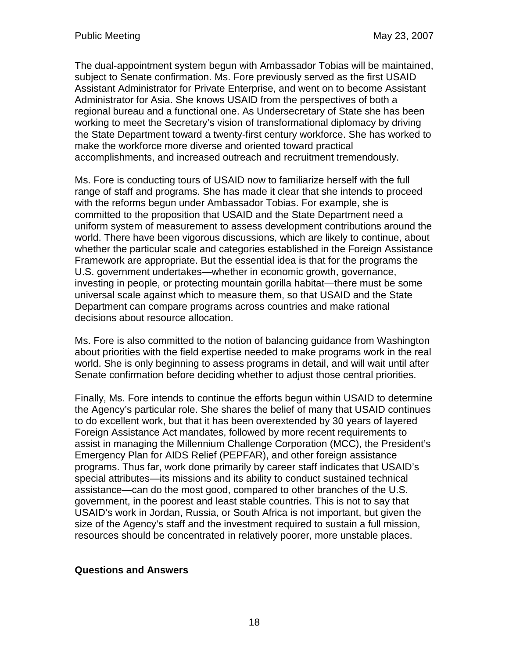The dual-appointment system begun with Ambassador Tobias will be maintained, subject to Senate confirmation. Ms. Fore previously served as the first USAID Assistant Administrator for Private Enterprise, and went on to become Assistant Administrator for Asia. She knows USAID from the perspectives of both a regional bureau and a functional one. As Undersecretary of State she has been working to meet the Secretary's vision of transformational diplomacy by driving the State Department toward a twenty-first century workforce. She has worked to make the workforce more diverse and oriented toward practical accomplishments, and increased outreach and recruitment tremendously.

Ms. Fore is conducting tours of USAID now to familiarize herself with the full range of staff and programs. She has made it clear that she intends to proceed with the reforms begun under Ambassador Tobias. For example, she is committed to the proposition that USAID and the State Department need a uniform system of measurement to assess development contributions around the world. There have been vigorous discussions, which are likely to continue, about whether the particular scale and categories established in the Foreign Assistance Framework are appropriate. But the essential idea is that for the programs the U.S. government undertakes—whether in economic growth, governance, investing in people, or protecting mountain gorilla habitat—there must be some universal scale against which to measure them, so that USAID and the State Department can compare programs across countries and make rational decisions about resource allocation.

Ms. Fore is also committed to the notion of balancing guidance from Washington about priorities with the field expertise needed to make programs work in the real world. She is only beginning to assess programs in detail, and will wait until after Senate confirmation before deciding whether to adjust those central priorities.

Finally, Ms. Fore intends to continue the efforts begun within USAID to determine the Agency's particular role. She shares the belief of many that USAID continues to do excellent work, but that it has been overextended by 30 years of layered Foreign Assistance Act mandates, followed by more recent requirements to assist in managing the Millennium Challenge Corporation (MCC), the President's Emergency Plan for AIDS Relief (PEPFAR), and other foreign assistance programs. Thus far, work done primarily by career staff indicates that USAID's special attributes—its missions and its ability to conduct sustained technical assistance—can do the most good, compared to other branches of the U.S. government, in the poorest and least stable countries. This is not to say that USAID's work in Jordan, Russia, or South Africa is not important, but given the size of the Agency's staff and the investment required to sustain a full mission, resources should be concentrated in relatively poorer, more unstable places.

### **Questions and Answers**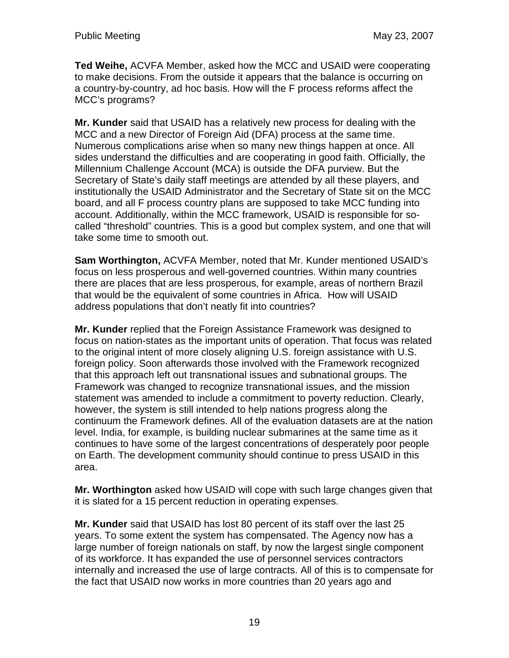**Ted Weihe,** ACVFA Member, asked how the MCC and USAID were cooperating to make decisions. From the outside it appears that the balance is occurring on a country-by-country, ad hoc basis. How will the F process reforms affect the MCC's programs?

**Mr. Kunder** said that USAID has a relatively new process for dealing with the MCC and a new Director of Foreign Aid (DFA) process at the same time. Numerous complications arise when so many new things happen at once. All sides understand the difficulties and are cooperating in good faith. Officially, the Millennium Challenge Account (MCA) is outside the DFA purview. But the Secretary of State's daily staff meetings are attended by all these players, and institutionally the USAID Administrator and the Secretary of State sit on the MCC board, and all F process country plans are supposed to take MCC funding into account. Additionally, within the MCC framework, USAID is responsible for socalled "threshold" countries. This is a good but complex system, and one that will take some time to smooth out.

**Sam Worthington,** ACVFA Member, noted that Mr. Kunder mentioned USAID's focus on less prosperous and well-governed countries. Within many countries there are places that are less prosperous, for example, areas of northern Brazil that would be the equivalent of some countries in Africa. How will USAID address populations that don't neatly fit into countries?

**Mr. Kunder** replied that the Foreign Assistance Framework was designed to focus on nation-states as the important units of operation. That focus was related to the original intent of more closely aligning U.S. foreign assistance with U.S. foreign policy. Soon afterwards those involved with the Framework recognized that this approach left out transnational issues and subnational groups. The Framework was changed to recognize transnational issues, and the mission statement was amended to include a commitment to poverty reduction. Clearly, however, the system is still intended to help nations progress along the continuum the Framework defines. All of the evaluation datasets are at the nation level. India, for example, is building nuclear submarines at the same time as it continues to have some of the largest concentrations of desperately poor people on Earth. The development community should continue to press USAID in this area.

**Mr. Worthington** asked how USAID will cope with such large changes given that it is slated for a 15 percent reduction in operating expenses.

**Mr. Kunder** said that USAID has lost 80 percent of its staff over the last 25 years. To some extent the system has compensated. The Agency now has a large number of foreign nationals on staff, by now the largest single component of its workforce. It has expanded the use of personnel services contractors internally and increased the use of large contracts. All of this is to compensate for the fact that USAID now works in more countries than 20 years ago and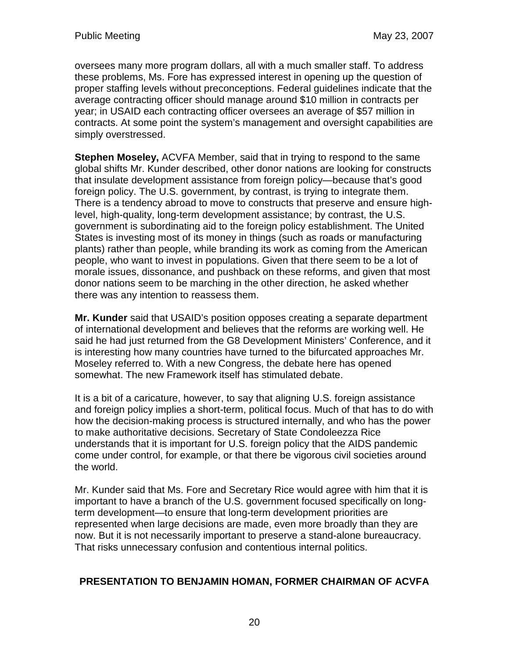oversees many more program dollars, all with a much smaller staff. To address these problems, Ms. Fore has expressed interest in opening up the question of proper staffing levels without preconceptions. Federal guidelines indicate that the average contracting officer should manage around \$10 million in contracts per year; in USAID each contracting officer oversees an average of \$57 million in contracts. At some point the system's management and oversight capabilities are simply overstressed.

**Stephen Moseley,** ACVFA Member, said that in trying to respond to the same global shifts Mr. Kunder described, other donor nations are looking for constructs that insulate development assistance from foreign policy—because that's good foreign policy. The U.S. government, by contrast, is trying to integrate them. There is a tendency abroad to move to constructs that preserve and ensure highlevel, high-quality, long-term development assistance; by contrast, the U.S. government is subordinating aid to the foreign policy establishment. The United States is investing most of its money in things (such as roads or manufacturing plants) rather than people, while branding its work as coming from the American people, who want to invest in populations. Given that there seem to be a lot of morale issues, dissonance, and pushback on these reforms, and given that most donor nations seem to be marching in the other direction, he asked whether there was any intention to reassess them.

**Mr. Kunder** said that USAID's position opposes creating a separate department of international development and believes that the reforms are working well. He said he had just returned from the G8 Development Ministers' Conference, and it is interesting how many countries have turned to the bifurcated approaches Mr. Moseley referred to. With a new Congress, the debate here has opened somewhat. The new Framework itself has stimulated debate.

It is a bit of a caricature, however, to say that aligning U.S. foreign assistance and foreign policy implies a short-term, political focus. Much of that has to do with how the decision-making process is structured internally, and who has the power to make authoritative decisions. Secretary of State Condoleezza Rice understands that it is important for U.S. foreign policy that the AIDS pandemic come under control, for example, or that there be vigorous civil societies around the world.

Mr. Kunder said that Ms. Fore and Secretary Rice would agree with him that it is important to have a branch of the U.S. government focused specifically on longterm development—to ensure that long-term development priorities are represented when large decisions are made, even more broadly than they are now. But it is not necessarily important to preserve a stand-alone bureaucracy. That risks unnecessary confusion and contentious internal politics.

## **PRESENTATION TO BENJAMIN HOMAN, FORMER CHAIRMAN OF ACVFA**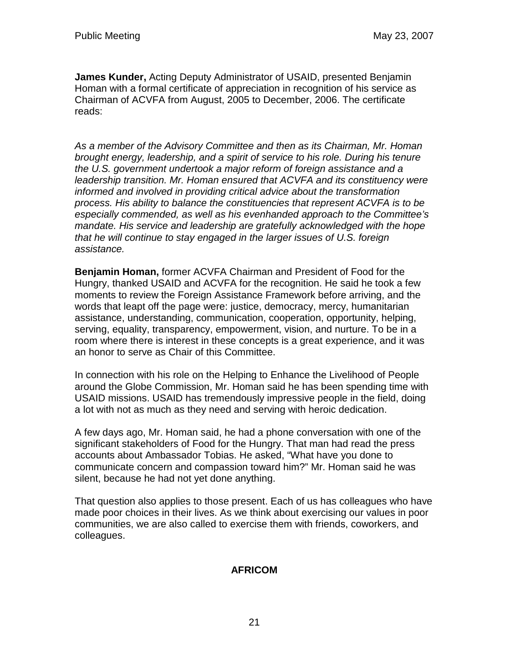**James Kunder,** Acting Deputy Administrator of USAID, presented Benjamin Homan with a formal certificate of appreciation in recognition of his service as Chairman of ACVFA from August, 2005 to December, 2006. The certificate reads:

As a member of the Advisory Committee and then as its Chairman, Mr. Homan brought energy, leadership, and a spirit of service to his role. During his tenure the U.S. government undertook a major reform of foreign assistance and a leadership transition. Mr. Homan ensured that ACVFA and its constituency were informed and involved in providing critical advice about the transformation process. His ability to balance the constituencies that represent ACVFA is to be especially commended, as well as his evenhanded approach to the Committee's mandate. His service and leadership are gratefully acknowledged with the hope that he will continue to stay engaged in the larger issues of U.S. foreign assistance.

**Benjamin Homan,** former ACVFA Chairman and President of Food for the Hungry, thanked USAID and ACVFA for the recognition. He said he took a few moments to review the Foreign Assistance Framework before arriving, and the words that leapt off the page were: justice, democracy, mercy, humanitarian assistance, understanding, communication, cooperation, opportunity, helping, serving, equality, transparency, empowerment, vision, and nurture. To be in a room where there is interest in these concepts is a great experience, and it was an honor to serve as Chair of this Committee.

In connection with his role on the Helping to Enhance the Livelihood of People around the Globe Commission, Mr. Homan said he has been spending time with USAID missions. USAID has tremendously impressive people in the field, doing a lot with not as much as they need and serving with heroic dedication.

A few days ago, Mr. Homan said, he had a phone conversation with one of the significant stakeholders of Food for the Hungry. That man had read the press accounts about Ambassador Tobias. He asked, "What have you done to communicate concern and compassion toward him?" Mr. Homan said he was silent, because he had not yet done anything.

That question also applies to those present. Each of us has colleagues who have made poor choices in their lives. As we think about exercising our values in poor communities, we are also called to exercise them with friends, coworkers, and colleagues.

### **AFRICOM**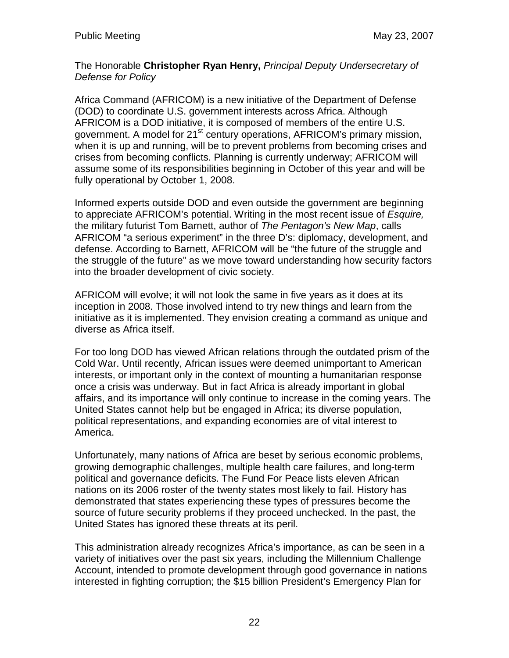The Honorable **Christopher Ryan Henry,** Principal Deputy Undersecretary of Defense for Policy

Africa Command (AFRICOM) is a new initiative of the Department of Defense (DOD) to coordinate U.S. government interests across Africa. Although AFRICOM is a DOD initiative, it is composed of members of the entire U.S. government. A model for 21<sup>st</sup> century operations, AFRICOM's primary mission, when it is up and running, will be to prevent problems from becoming crises and crises from becoming conflicts. Planning is currently underway; AFRICOM will assume some of its responsibilities beginning in October of this year and will be fully operational by October 1, 2008.

Informed experts outside DOD and even outside the government are beginning to appreciate AFRICOM's potential. Writing in the most recent issue of Esquire, the military futurist Tom Barnett, author of The Pentagon's New Map, calls AFRICOM "a serious experiment" in the three D's: diplomacy, development, and defense. According to Barnett, AFRICOM will be "the future of the struggle and the struggle of the future" as we move toward understanding how security factors into the broader development of civic society.

AFRICOM will evolve; it will not look the same in five years as it does at its inception in 2008. Those involved intend to try new things and learn from the initiative as it is implemented. They envision creating a command as unique and diverse as Africa itself.

For too long DOD has viewed African relations through the outdated prism of the Cold War. Until recently, African issues were deemed unimportant to American interests, or important only in the context of mounting a humanitarian response once a crisis was underway. But in fact Africa is already important in global affairs, and its importance will only continue to increase in the coming years. The United States cannot help but be engaged in Africa; its diverse population, political representations, and expanding economies are of vital interest to America.

Unfortunately, many nations of Africa are beset by serious economic problems, growing demographic challenges, multiple health care failures, and long-term political and governance deficits. The Fund For Peace lists eleven African nations on its 2006 roster of the twenty states most likely to fail. History has demonstrated that states experiencing these types of pressures become the source of future security problems if they proceed unchecked. In the past, the United States has ignored these threats at its peril.

This administration already recognizes Africa's importance, as can be seen in a variety of initiatives over the past six years, including the Millennium Challenge Account, intended to promote development through good governance in nations interested in fighting corruption; the \$15 billion President's Emergency Plan for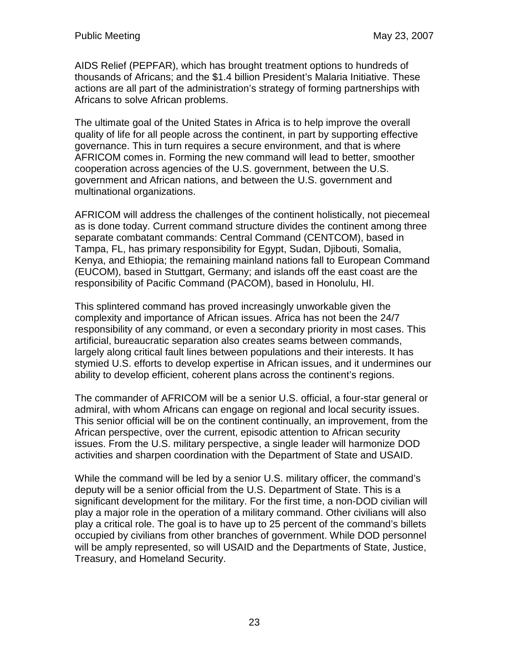AIDS Relief (PEPFAR), which has brought treatment options to hundreds of thousands of Africans; and the \$1.4 billion President's Malaria Initiative. These actions are all part of the administration's strategy of forming partnerships with Africans to solve African problems.

The ultimate goal of the United States in Africa is to help improve the overall quality of life for all people across the continent, in part by supporting effective governance. This in turn requires a secure environment, and that is where AFRICOM comes in. Forming the new command will lead to better, smoother cooperation across agencies of the U.S. government, between the U.S. government and African nations, and between the U.S. government and multinational organizations.

AFRICOM will address the challenges of the continent holistically, not piecemeal as is done today. Current command structure divides the continent among three separate combatant commands: Central Command (CENTCOM), based in Tampa, FL, has primary responsibility for Egypt, Sudan, Djibouti, Somalia, Kenya, and Ethiopia; the remaining mainland nations fall to European Command (EUCOM), based in Stuttgart, Germany; and islands off the east coast are the responsibility of Pacific Command (PACOM), based in Honolulu, HI.

This splintered command has proved increasingly unworkable given the complexity and importance of African issues. Africa has not been the 24/7 responsibility of any command, or even a secondary priority in most cases. This artificial, bureaucratic separation also creates seams between commands, largely along critical fault lines between populations and their interests. It has stymied U.S. efforts to develop expertise in African issues, and it undermines our ability to develop efficient, coherent plans across the continent's regions.

The commander of AFRICOM will be a senior U.S. official, a four-star general or admiral, with whom Africans can engage on regional and local security issues. This senior official will be on the continent continually, an improvement, from the African perspective, over the current, episodic attention to African security issues. From the U.S. military perspective, a single leader will harmonize DOD activities and sharpen coordination with the Department of State and USAID.

While the command will be led by a senior U.S. military officer, the command's deputy will be a senior official from the U.S. Department of State. This is a significant development for the military. For the first time, a non-DOD civilian will play a major role in the operation of a military command. Other civilians will also play a critical role. The goal is to have up to 25 percent of the command's billets occupied by civilians from other branches of government. While DOD personnel will be amply represented, so will USAID and the Departments of State, Justice, Treasury, and Homeland Security.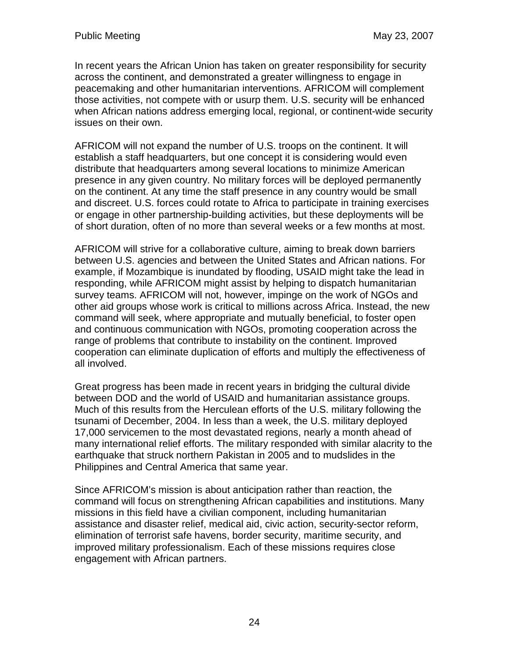In recent years the African Union has taken on greater responsibility for security across the continent, and demonstrated a greater willingness to engage in peacemaking and other humanitarian interventions. AFRICOM will complement those activities, not compete with or usurp them. U.S. security will be enhanced when African nations address emerging local, regional, or continent-wide security issues on their own.

AFRICOM will not expand the number of U.S. troops on the continent. It will establish a staff headquarters, but one concept it is considering would even distribute that headquarters among several locations to minimize American presence in any given country. No military forces will be deployed permanently on the continent. At any time the staff presence in any country would be small and discreet. U.S. forces could rotate to Africa to participate in training exercises or engage in other partnership-building activities, but these deployments will be of short duration, often of no more than several weeks or a few months at most.

AFRICOM will strive for a collaborative culture, aiming to break down barriers between U.S. agencies and between the United States and African nations. For example, if Mozambique is inundated by flooding, USAID might take the lead in responding, while AFRICOM might assist by helping to dispatch humanitarian survey teams. AFRICOM will not, however, impinge on the work of NGOs and other aid groups whose work is critical to millions across Africa. Instead, the new command will seek, where appropriate and mutually beneficial, to foster open and continuous communication with NGOs, promoting cooperation across the range of problems that contribute to instability on the continent. Improved cooperation can eliminate duplication of efforts and multiply the effectiveness of all involved.

Great progress has been made in recent years in bridging the cultural divide between DOD and the world of USAID and humanitarian assistance groups. Much of this results from the Herculean efforts of the U.S. military following the tsunami of December, 2004. In less than a week, the U.S. military deployed 17,000 servicemen to the most devastated regions, nearly a month ahead of many international relief efforts. The military responded with similar alacrity to the earthquake that struck northern Pakistan in 2005 and to mudslides in the Philippines and Central America that same year.

Since AFRICOM's mission is about anticipation rather than reaction, the command will focus on strengthening African capabilities and institutions. Many missions in this field have a civilian component, including humanitarian assistance and disaster relief, medical aid, civic action, security-sector reform, elimination of terrorist safe havens, border security, maritime security, and improved military professionalism. Each of these missions requires close engagement with African partners.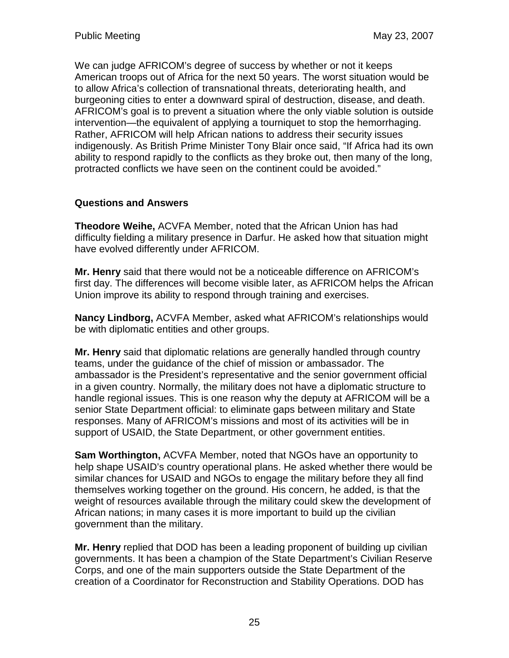We can judge AFRICOM's degree of success by whether or not it keeps American troops out of Africa for the next 50 years. The worst situation would be to allow Africa's collection of transnational threats, deteriorating health, and burgeoning cities to enter a downward spiral of destruction, disease, and death. AFRICOM's goal is to prevent a situation where the only viable solution is outside intervention—the equivalent of applying a tourniquet to stop the hemorrhaging. Rather, AFRICOM will help African nations to address their security issues indigenously. As British Prime Minister Tony Blair once said, "If Africa had its own ability to respond rapidly to the conflicts as they broke out, then many of the long, protracted conflicts we have seen on the continent could be avoided."

## **Questions and Answers**

**Theodore Weihe,** ACVFA Member, noted that the African Union has had difficulty fielding a military presence in Darfur. He asked how that situation might have evolved differently under AFRICOM.

**Mr. Henry** said that there would not be a noticeable difference on AFRICOM's first day. The differences will become visible later, as AFRICOM helps the African Union improve its ability to respond through training and exercises.

**Nancy Lindborg,** ACVFA Member, asked what AFRICOM's relationships would be with diplomatic entities and other groups.

**Mr. Henry** said that diplomatic relations are generally handled through country teams, under the guidance of the chief of mission or ambassador. The ambassador is the President's representative and the senior government official in a given country. Normally, the military does not have a diplomatic structure to handle regional issues. This is one reason why the deputy at AFRICOM will be a senior State Department official: to eliminate gaps between military and State responses. Many of AFRICOM's missions and most of its activities will be in support of USAID, the State Department, or other government entities.

**Sam Worthington,** ACVFA Member, noted that NGOs have an opportunity to help shape USAID's country operational plans. He asked whether there would be similar chances for USAID and NGOs to engage the military before they all find themselves working together on the ground. His concern, he added, is that the weight of resources available through the military could skew the development of African nations; in many cases it is more important to build up the civilian government than the military.

**Mr. Henry** replied that DOD has been a leading proponent of building up civilian governments. It has been a champion of the State Department's Civilian Reserve Corps, and one of the main supporters outside the State Department of the creation of a Coordinator for Reconstruction and Stability Operations. DOD has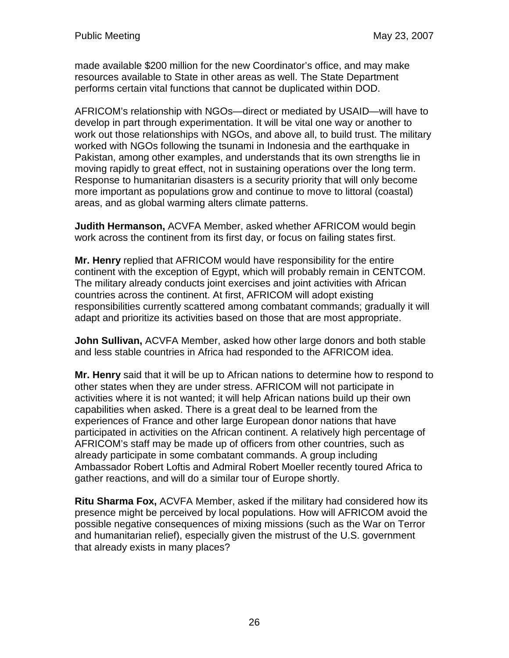made available \$200 million for the new Coordinator's office, and may make resources available to State in other areas as well. The State Department performs certain vital functions that cannot be duplicated within DOD.

AFRICOM's relationship with NGOs—direct or mediated by USAID—will have to develop in part through experimentation. It will be vital one way or another to work out those relationships with NGOs, and above all, to build trust. The military worked with NGOs following the tsunami in Indonesia and the earthquake in Pakistan, among other examples, and understands that its own strengths lie in moving rapidly to great effect, not in sustaining operations over the long term. Response to humanitarian disasters is a security priority that will only become more important as populations grow and continue to move to littoral (coastal) areas, and as global warming alters climate patterns.

**Judith Hermanson,** ACVFA Member, asked whether AFRICOM would begin work across the continent from its first day, or focus on failing states first.

**Mr. Henry** replied that AFRICOM would have responsibility for the entire continent with the exception of Egypt, which will probably remain in CENTCOM. The military already conducts joint exercises and joint activities with African countries across the continent. At first, AFRICOM will adopt existing responsibilities currently scattered among combatant commands; gradually it will adapt and prioritize its activities based on those that are most appropriate.

**John Sullivan,** ACVFA Member, asked how other large donors and both stable and less stable countries in Africa had responded to the AFRICOM idea.

**Mr. Henry** said that it will be up to African nations to determine how to respond to other states when they are under stress. AFRICOM will not participate in activities where it is not wanted; it will help African nations build up their own capabilities when asked. There is a great deal to be learned from the experiences of France and other large European donor nations that have participated in activities on the African continent. A relatively high percentage of AFRICOM's staff may be made up of officers from other countries, such as already participate in some combatant commands. A group including Ambassador Robert Loftis and Admiral Robert Moeller recently toured Africa to gather reactions, and will do a similar tour of Europe shortly.

**Ritu Sharma Fox,** ACVFA Member, asked if the military had considered how its presence might be perceived by local populations. How will AFRICOM avoid the possible negative consequences of mixing missions (such as the War on Terror and humanitarian relief), especially given the mistrust of the U.S. government that already exists in many places?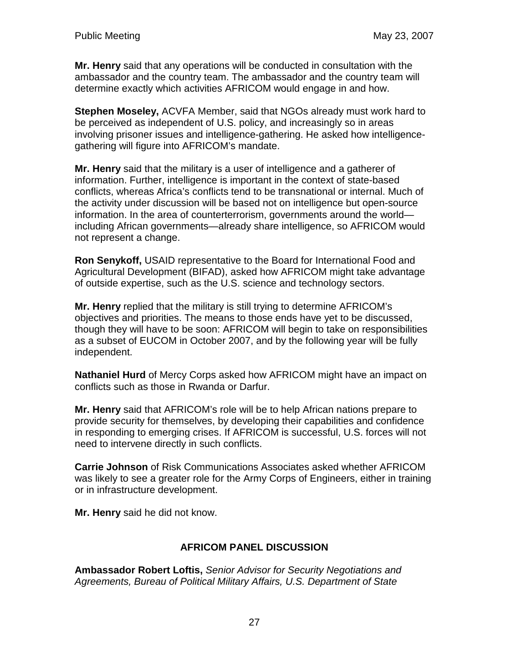**Mr. Henry** said that any operations will be conducted in consultation with the ambassador and the country team. The ambassador and the country team will determine exactly which activities AFRICOM would engage in and how.

**Stephen Moseley,** ACVFA Member, said that NGOs already must work hard to be perceived as independent of U.S. policy, and increasingly so in areas involving prisoner issues and intelligence-gathering. He asked how intelligencegathering will figure into AFRICOM's mandate.

**Mr. Henry** said that the military is a user of intelligence and a gatherer of information. Further, intelligence is important in the context of state-based conflicts, whereas Africa's conflicts tend to be transnational or internal. Much of the activity under discussion will be based not on intelligence but open-source information. In the area of counterterrorism, governments around the world including African governments—already share intelligence, so AFRICOM would not represent a change.

**Ron Senykoff,** USAID representative to the Board for International Food and Agricultural Development (BIFAD), asked how AFRICOM might take advantage of outside expertise, such as the U.S. science and technology sectors.

**Mr. Henry** replied that the military is still trying to determine AFRICOM's objectives and priorities. The means to those ends have yet to be discussed, though they will have to be soon: AFRICOM will begin to take on responsibilities as a subset of EUCOM in October 2007, and by the following year will be fully independent.

**Nathaniel Hurd** of Mercy Corps asked how AFRICOM might have an impact on conflicts such as those in Rwanda or Darfur.

**Mr. Henry** said that AFRICOM's role will be to help African nations prepare to provide security for themselves, by developing their capabilities and confidence in responding to emerging crises. If AFRICOM is successful, U.S. forces will not need to intervene directly in such conflicts.

**Carrie Johnson** of Risk Communications Associates asked whether AFRICOM was likely to see a greater role for the Army Corps of Engineers, either in training or in infrastructure development.

**Mr. Henry** said he did not know.

### **AFRICOM PANEL DISCUSSION**

**Ambassador Robert Loftis,** Senior Advisor for Security Negotiations and Agreements, Bureau of Political Military Affairs, U.S. Department of State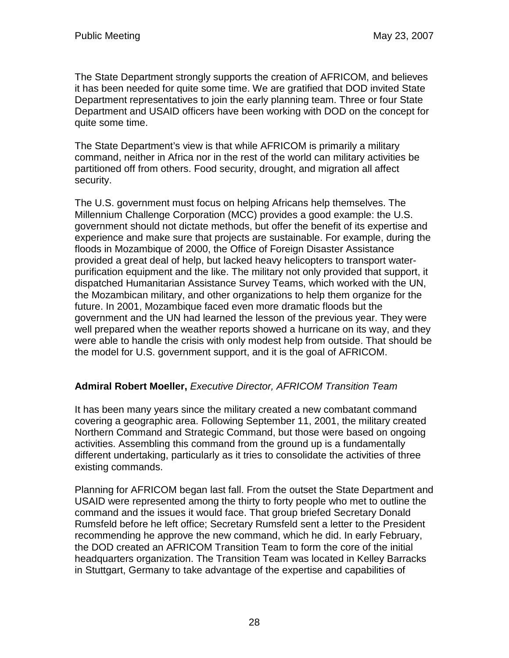The State Department strongly supports the creation of AFRICOM, and believes it has been needed for quite some time. We are gratified that DOD invited State Department representatives to join the early planning team. Three or four State Department and USAID officers have been working with DOD on the concept for quite some time.

The State Department's view is that while AFRICOM is primarily a military command, neither in Africa nor in the rest of the world can military activities be partitioned off from others. Food security, drought, and migration all affect security.

The U.S. government must focus on helping Africans help themselves. The Millennium Challenge Corporation (MCC) provides a good example: the U.S. government should not dictate methods, but offer the benefit of its expertise and experience and make sure that projects are sustainable. For example, during the floods in Mozambique of 2000, the Office of Foreign Disaster Assistance provided a great deal of help, but lacked heavy helicopters to transport waterpurification equipment and the like. The military not only provided that support, it dispatched Humanitarian Assistance Survey Teams, which worked with the UN, the Mozambican military, and other organizations to help them organize for the future. In 2001, Mozambique faced even more dramatic floods but the government and the UN had learned the lesson of the previous year. They were well prepared when the weather reports showed a hurricane on its way, and they were able to handle the crisis with only modest help from outside. That should be the model for U.S. government support, and it is the goal of AFRICOM.

### **Admiral Robert Moeller,** Executive Director, AFRICOM Transition Team

It has been many years since the military created a new combatant command covering a geographic area. Following September 11, 2001, the military created Northern Command and Strategic Command, but those were based on ongoing activities. Assembling this command from the ground up is a fundamentally different undertaking, particularly as it tries to consolidate the activities of three existing commands.

Planning for AFRICOM began last fall. From the outset the State Department and USAID were represented among the thirty to forty people who met to outline the command and the issues it would face. That group briefed Secretary Donald Rumsfeld before he left office; Secretary Rumsfeld sent a letter to the President recommending he approve the new command, which he did. In early February, the DOD created an AFRICOM Transition Team to form the core of the initial headquarters organization. The Transition Team was located in Kelley Barracks in Stuttgart, Germany to take advantage of the expertise and capabilities of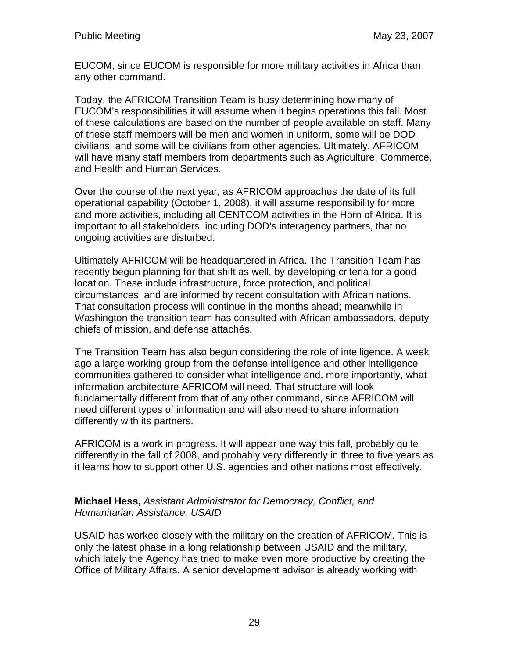EUCOM, since EUCOM is responsible for more military activities in Africa than any other command.

Today, the AFRICOM Transition Team is busy determining how many of EUCOM's responsibilities it will assume when it begins operations this fall. Most of these calculations are based on the number of people available on staff. Many of these staff members will be men and women in uniform, some will be DOD civilians, and some will be civilians from other agencies. Ultimately, AFRICOM will have many staff members from departments such as Agriculture, Commerce, and Health and Human Services.

Over the course of the next year, as AFRICOM approaches the date of its full operational capability (October 1, 2008), it will assume responsibility for more and more activities, including all CENTCOM activities in the Horn of Africa. It is important to all stakeholders, including DOD's interagency partners, that no ongoing activities are disturbed.

Ultimately AFRICOM will be headquartered in Africa. The Transition Team has recently begun planning for that shift as well, by developing criteria for a good location. These include infrastructure, force protection, and political circumstances, and are informed by recent consultation with African nations. That consultation process will continue in the months ahead; meanwhile in Washington the transition team has consulted with African ambassadors, deputy chiefs of mission, and defense attachés.

The Transition Team has also begun considering the role of intelligence. A week ago a large working group from the defense intelligence and other intelligence communities gathered to consider what intelligence and, more importantly, what information architecture AFRICOM will need. That structure will look fundamentally different from that of any other command, since AFRICOM will need different types of information and will also need to share information differently with its partners.

AFRICOM is a work in progress. It will appear one way this fall, probably quite differently in the fall of 2008, and probably very differently in three to five years as it learns how to support other U.S. agencies and other nations most effectively.

#### **Michael Hess,** Assistant Administrator for Democracy, Conflict, and Humanitarian Assistance, USAID

USAID has worked closely with the military on the creation of AFRICOM. This is only the latest phase in a long relationship between USAID and the military, which lately the Agency has tried to make even more productive by creating the Office of Military Affairs. A senior development advisor is already working with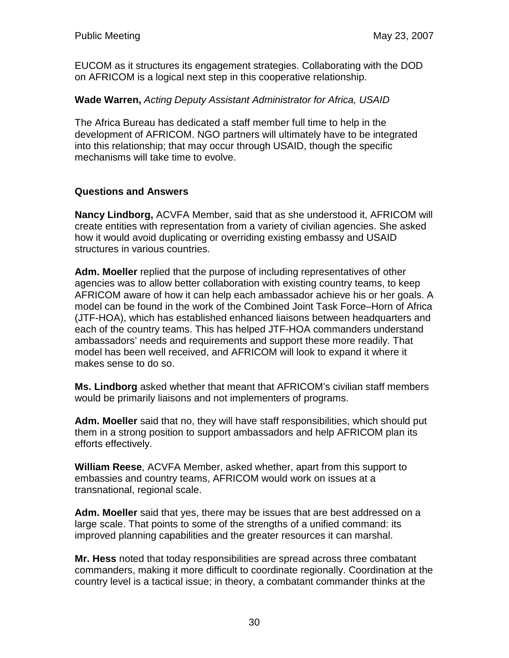EUCOM as it structures its engagement strategies. Collaborating with the DOD on AFRICOM is a logical next step in this cooperative relationship.

### **Wade Warren,** Acting Deputy Assistant Administrator for Africa, USAID

The Africa Bureau has dedicated a staff member full time to help in the development of AFRICOM. NGO partners will ultimately have to be integrated into this relationship; that may occur through USAID, though the specific mechanisms will take time to evolve.

## **Questions and Answers**

**Nancy Lindborg,** ACVFA Member, said that as she understood it, AFRICOM will create entities with representation from a variety of civilian agencies. She asked how it would avoid duplicating or overriding existing embassy and USAID structures in various countries.

**Adm. Moeller** replied that the purpose of including representatives of other agencies was to allow better collaboration with existing country teams, to keep AFRICOM aware of how it can help each ambassador achieve his or her goals. A model can be found in the work of the Combined Joint Task Force–Horn of Africa (JTF-HOA), which has established enhanced liaisons between headquarters and each of the country teams. This has helped JTF-HOA commanders understand ambassadors' needs and requirements and support these more readily. That model has been well received, and AFRICOM will look to expand it where it makes sense to do so.

**Ms. Lindborg** asked whether that meant that AFRICOM's civilian staff members would be primarily liaisons and not implementers of programs.

**Adm. Moeller** said that no, they will have staff responsibilities, which should put them in a strong position to support ambassadors and help AFRICOM plan its efforts effectively.

**William Reese**, ACVFA Member, asked whether, apart from this support to embassies and country teams, AFRICOM would work on issues at a transnational, regional scale.

**Adm. Moeller** said that yes, there may be issues that are best addressed on a large scale. That points to some of the strengths of a unified command: its improved planning capabilities and the greater resources it can marshal.

**Mr. Hess** noted that today responsibilities are spread across three combatant commanders, making it more difficult to coordinate regionally. Coordination at the country level is a tactical issue; in theory, a combatant commander thinks at the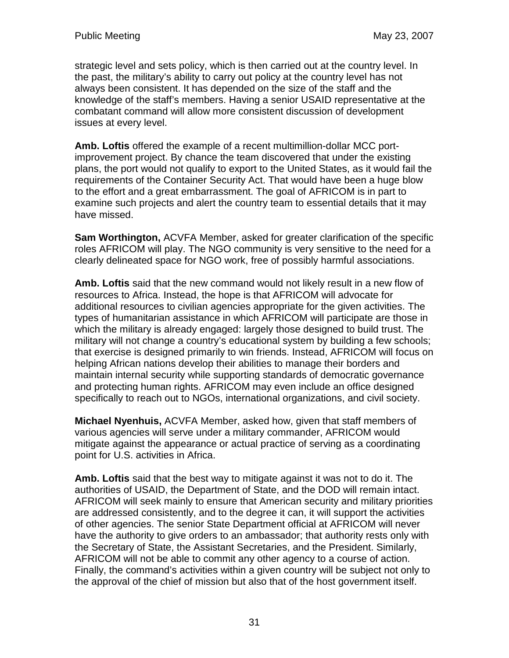strategic level and sets policy, which is then carried out at the country level. In the past, the military's ability to carry out policy at the country level has not always been consistent. It has depended on the size of the staff and the knowledge of the staff's members. Having a senior USAID representative at the combatant command will allow more consistent discussion of development issues at every level.

**Amb. Loftis** offered the example of a recent multimillion-dollar MCC portimprovement project. By chance the team discovered that under the existing plans, the port would not qualify to export to the United States, as it would fail the requirements of the Container Security Act. That would have been a huge blow to the effort and a great embarrassment. The goal of AFRICOM is in part to examine such projects and alert the country team to essential details that it may have missed.

**Sam Worthington,** ACVFA Member, asked for greater clarification of the specific roles AFRICOM will play. The NGO community is very sensitive to the need for a clearly delineated space for NGO work, free of possibly harmful associations.

**Amb. Loftis** said that the new command would not likely result in a new flow of resources to Africa. Instead, the hope is that AFRICOM will advocate for additional resources to civilian agencies appropriate for the given activities. The types of humanitarian assistance in which AFRICOM will participate are those in which the military is already engaged: largely those designed to build trust. The military will not change a country's educational system by building a few schools; that exercise is designed primarily to win friends. Instead, AFRICOM will focus on helping African nations develop their abilities to manage their borders and maintain internal security while supporting standards of democratic governance and protecting human rights. AFRICOM may even include an office designed specifically to reach out to NGOs, international organizations, and civil society.

**Michael Nyenhuis,** ACVFA Member, asked how, given that staff members of various agencies will serve under a military commander, AFRICOM would mitigate against the appearance or actual practice of serving as a coordinating point for U.S. activities in Africa.

**Amb. Loftis** said that the best way to mitigate against it was not to do it. The authorities of USAID, the Department of State, and the DOD will remain intact. AFRICOM will seek mainly to ensure that American security and military priorities are addressed consistently, and to the degree it can, it will support the activities of other agencies. The senior State Department official at AFRICOM will never have the authority to give orders to an ambassador; that authority rests only with the Secretary of State, the Assistant Secretaries, and the President. Similarly, AFRICOM will not be able to commit any other agency to a course of action. Finally, the command's activities within a given country will be subject not only to the approval of the chief of mission but also that of the host government itself.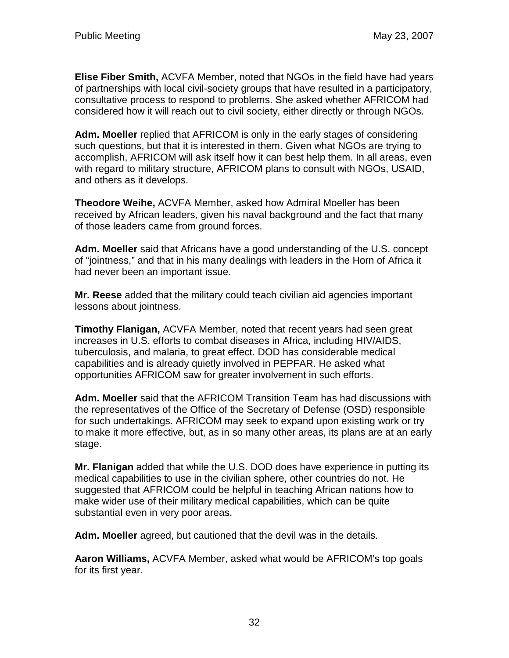**Elise Fiber Smith,** ACVFA Member, noted that NGOs in the field have had years of partnerships with local civil-society groups that have resulted in a participatory, consultative process to respond to problems. She asked whether AFRICOM had considered how it will reach out to civil society, either directly or through NGOs.

**Adm. Moeller** replied that AFRICOM is only in the early stages of considering such questions, but that it is interested in them. Given what NGOs are trying to accomplish, AFRICOM will ask itself how it can best help them. In all areas, even with regard to military structure, AFRICOM plans to consult with NGOs, USAID, and others as it develops.

**Theodore Weihe,** ACVFA Member, asked how Admiral Moeller has been received by African leaders, given his naval background and the fact that many of those leaders came from ground forces.

**Adm. Moeller** said that Africans have a good understanding of the U.S. concept of "jointness," and that in his many dealings with leaders in the Horn of Africa it had never been an important issue.

**Mr. Reese** added that the military could teach civilian aid agencies important lessons about jointness.

**Timothy Flanigan,** ACVFA Member, noted that recent years had seen great increases in U.S. efforts to combat diseases in Africa, including HIV/AIDS, tuberculosis, and malaria, to great effect. DOD has considerable medical capabilities and is already quietly involved in PEPFAR. He asked what opportunities AFRICOM saw for greater involvement in such efforts.

**Adm. Moeller** said that the AFRICOM Transition Team has had discussions with the representatives of the Office of the Secretary of Defense (OSD) responsible for such undertakings. AFRICOM may seek to expand upon existing work or try to make it more effective, but, as in so many other areas, its plans are at an early stage.

**Mr. Flanigan** added that while the U.S. DOD does have experience in putting its medical capabilities to use in the civilian sphere, other countries do not. He suggested that AFRICOM could be helpful in teaching African nations how to make wider use of their military medical capabilities, which can be quite substantial even in very poor areas.

**Adm. Moeller** agreed, but cautioned that the devil was in the details.

**Aaron Williams,** ACVFA Member, asked what would be AFRICOM's top goals for its first year.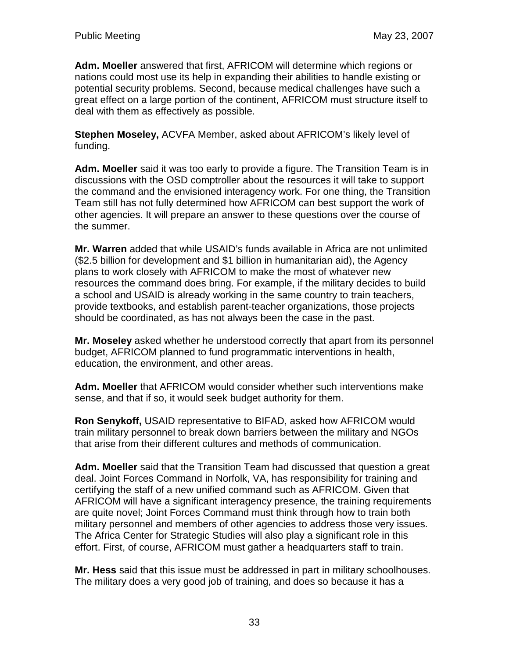**Adm. Moeller** answered that first, AFRICOM will determine which regions or nations could most use its help in expanding their abilities to handle existing or potential security problems. Second, because medical challenges have such a great effect on a large portion of the continent, AFRICOM must structure itself to deal with them as effectively as possible.

**Stephen Moseley,** ACVFA Member, asked about AFRICOM's likely level of funding.

**Adm. Moeller** said it was too early to provide a figure. The Transition Team is in discussions with the OSD comptroller about the resources it will take to support the command and the envisioned interagency work. For one thing, the Transition Team still has not fully determined how AFRICOM can best support the work of other agencies. It will prepare an answer to these questions over the course of the summer.

**Mr. Warren** added that while USAID's funds available in Africa are not unlimited (\$2.5 billion for development and \$1 billion in humanitarian aid), the Agency plans to work closely with AFRICOM to make the most of whatever new resources the command does bring. For example, if the military decides to build a school and USAID is already working in the same country to train teachers, provide textbooks, and establish parent-teacher organizations, those projects should be coordinated, as has not always been the case in the past.

**Mr. Moseley** asked whether he understood correctly that apart from its personnel budget, AFRICOM planned to fund programmatic interventions in health, education, the environment, and other areas.

**Adm. Moeller** that AFRICOM would consider whether such interventions make sense, and that if so, it would seek budget authority for them.

**Ron Senykoff,** USAID representative to BIFAD, asked how AFRICOM would train military personnel to break down barriers between the military and NGOs that arise from their different cultures and methods of communication.

**Adm. Moeller** said that the Transition Team had discussed that question a great deal. Joint Forces Command in Norfolk, VA, has responsibility for training and certifying the staff of a new unified command such as AFRICOM. Given that AFRICOM will have a significant interagency presence, the training requirements are quite novel; Joint Forces Command must think through how to train both military personnel and members of other agencies to address those very issues. The Africa Center for Strategic Studies will also play a significant role in this effort. First, of course, AFRICOM must gather a headquarters staff to train.

**Mr. Hess** said that this issue must be addressed in part in military schoolhouses. The military does a very good job of training, and does so because it has a